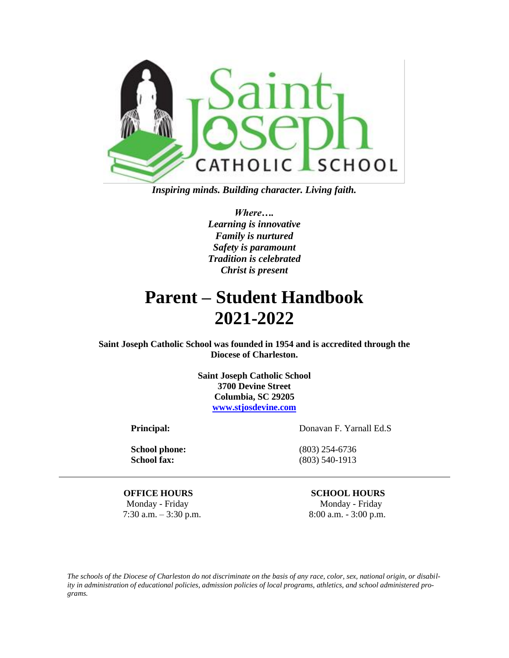

*Inspiring minds. Building character. Living faith.*

*Where…. Learning is innovative Family is nurtured Safety is paramount Tradition is celebrated Christ is present*

# **Parent – Student Handbook 2021-2022**

**Saint Joseph Catholic School was founded in 1954 and is accredited through the Diocese of Charleston.**

> **Saint Joseph Catholic School 3700 Devine Street Columbia, SC 29205 [www.stjosdevine.com](http://www.stjosdevine.com/)**

**School phone:** (803) 254-6736

**Principal:** Donavan F. Yarnall Ed.S

**School fax:** (803) 540-1913

**OFFICE HOURS SCHOOL HOURS** Monday - Friday Monday - Friday

7:30 a.m.  $-3:30$  p.m. 8:00 a.m.  $-3:00$  p.m.

*The schools of the Diocese of Charleston do not discriminate on the basis of any race, color, sex, national origin, or disability in administration of educational policies, admission policies of local programs, athletics, and school administered programs.*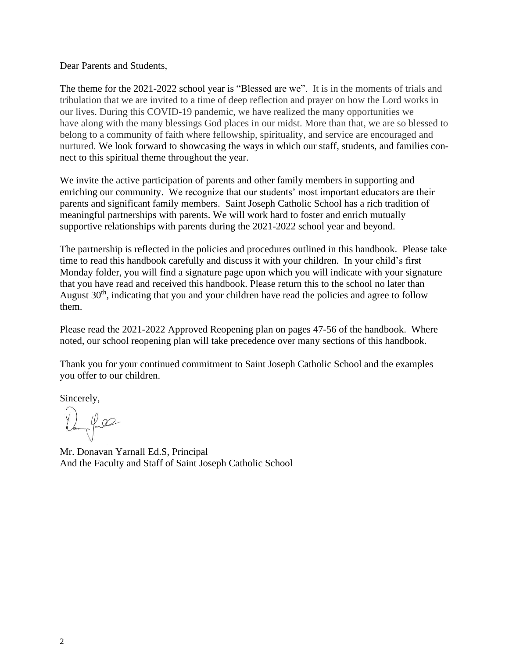Dear Parents and Students,

The theme for the 2021-2022 school year is "Blessed are we". It is in the moments of trials and tribulation that we are invited to a time of deep reflection and prayer on how the Lord works in our lives. During this COVID-19 pandemic, we have realized the many opportunities we have along with the many blessings God places in our midst. More than that, we are so blessed to belong to a community of faith where fellowship, spirituality, and service are encouraged and nurtured. We look forward to showcasing the ways in which our staff, students, and families connect to this spiritual theme throughout the year.

We invite the active participation of parents and other family members in supporting and enriching our community. We recognize that our students' most important educators are their parents and significant family members. Saint Joseph Catholic School has a rich tradition of meaningful partnerships with parents. We will work hard to foster and enrich mutually supportive relationships with parents during the 2021-2022 school year and beyond.

The partnership is reflected in the policies and procedures outlined in this handbook. Please take time to read this handbook carefully and discuss it with your children. In your child's first Monday folder, you will find a signature page upon which you will indicate with your signature that you have read and received this handbook. Please return this to the school no later than August 30<sup>th</sup>, indicating that you and your children have read the policies and agree to follow them.

Please read the 2021-2022 Approved Reopening plan on pages 47-56 of the handbook. Where noted, our school reopening plan will take precedence over many sections of this handbook.

Thank you for your continued commitment to Saint Joseph Catholic School and the examples you offer to our children.

Sincerely,

Dama Pull

Mr. Donavan Yarnall Ed.S, Principal And the Faculty and Staff of Saint Joseph Catholic School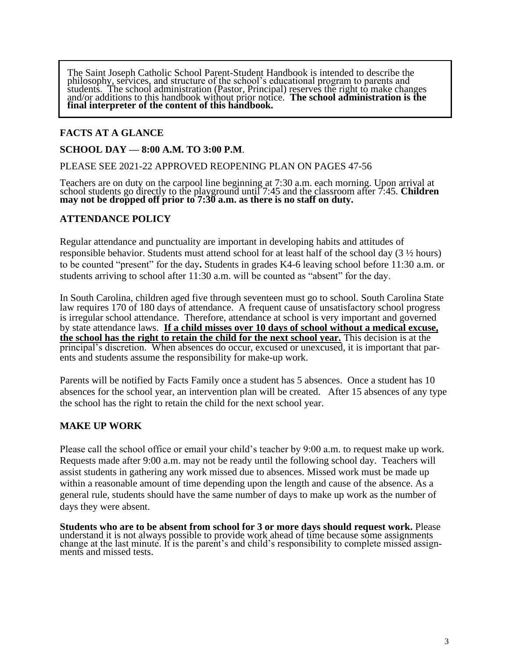The Saint Joseph Catholic School Parent-Student Handbook is intended to describe the philosophy, services, and structure of the school's educational program to parents and students. The school administration (Pastor, Principal) reserves the right to make changes and/or additions to this handbook without prior notice. **The school administration is the final interpreter of the content of this handbook.**

#### **FACTS AT A GLANCE**

#### **SCHOOL DAY — 8:00 A.M. TO 3:00 P.M**.

PLEASE SEE 2021-22 APPROVED REOPENING PLAN ON PAGES 47-56

Teachers are on duty on the carpool line beginning at 7:30 a.m. each morning. Upon arrival at school students go directly to the playground until 7:45 and the classroom after 7:45. **Children may not be dropped off prior to 7:30 a.m. as there is no staff on duty.**

#### **ATTENDANCE POLICY**

Regular attendance and punctuality are important in developing habits and attitudes of responsible behavior. Students must attend school for at least half of the school day  $(3 \frac{1}{2}$  hours) to be counted "present" for the day**.** Students in grades K4-6 leaving school before 11:30 a.m. or students arriving to school after 11:30 a.m. will be counted as "absent" for the day.

In South Carolina, children aged five through seventeen must go to school. South Carolina State law requires 170 of 180 days of attendance. A frequent cause of unsatisfactory school progress is irregular school attendance. Therefore, attendance at school is very important and governed by state attendance laws. **If a child misses over 10 days of school without a medical excuse, the school has the right to retain the child for the next school year.** This decision is at the principal's discretion. When absences do occur, excused or unexcused, it is important that parents and students assume the responsibility for make-up work.

Parents will be notified by Facts Family once a student has 5 absences. Once a student has 10 absences for the school year, an intervention plan will be created. After 15 absences of any type the school has the right to retain the child for the next school year.

#### **MAKE UP WORK**

Please call the school office or email your child's teacher by 9:00 a.m. to request make up work. Requests made after 9:00 a.m. may not be ready until the following school day. Teachers will assist students in gathering any work missed due to absences. Missed work must be made up within a reasonable amount of time depending upon the length and cause of the absence. As a general rule, students should have the same number of days to make up work as the number of days they were absent.

**Students who are to be absent from school for 3 or more days should request work.** Please understand it is not always possible to provide work ahead of time because some assignments change at the last minute. It is the parent's and child's responsibility to complete missed assignments and missed tests.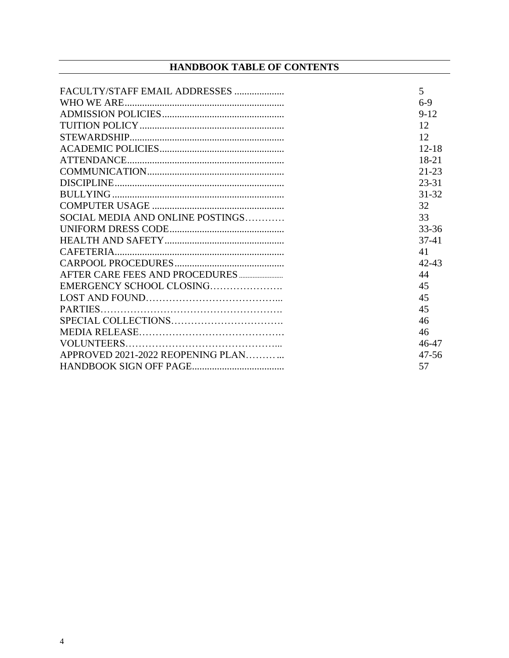#### **HANDBOOK TABLE OF CONTENTS**

| FACULTY/STAFF EMAIL ADDRESSES     | 5         |
|-----------------------------------|-----------|
|                                   | $6-9$     |
|                                   | $9 - 12$  |
|                                   | 12        |
|                                   | 12        |
|                                   | $12 - 18$ |
|                                   | $18 - 21$ |
|                                   | $21 - 23$ |
|                                   | $23 - 31$ |
|                                   | $31 - 32$ |
|                                   | 32        |
| SOCIAL MEDIA AND ONLINE POSTINGS  | 33        |
|                                   | 33-36     |
|                                   | $37-41$   |
|                                   | 41        |
|                                   | $42 - 43$ |
|                                   | 44        |
| EMERGENCY SCHOOL CLOSING          | 45        |
|                                   | 45        |
|                                   | 45        |
|                                   | 46        |
|                                   | 46        |
|                                   | 46-47     |
| APPROVED 2021-2022 REOPENING PLAN | $47 - 56$ |
|                                   | 57        |
|                                   |           |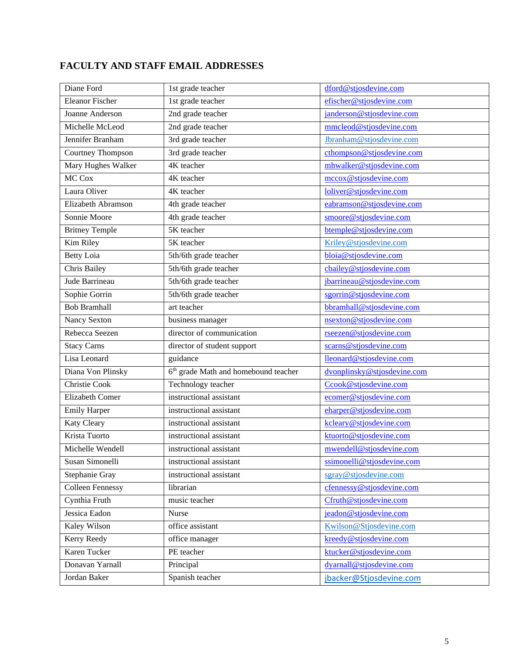## **FACULTY AND STAFF EMAIL ADDRESSES**

| Diane Ford              | 1st grade teacher                      | dford@stjosdevine.com       |
|-------------------------|----------------------------------------|-----------------------------|
| <b>Eleanor Fischer</b>  | 1st grade teacher                      | efischer@stjosdevine.com    |
| Joanne Anderson         | 2nd grade teacher                      | janderson@stjosdevine.com   |
| Michelle McLeod         | 2nd grade teacher                      | mmcleod@stjosdevine.com     |
| Jennifer Branham        | 3rd grade teacher                      | Jbranham@stjosdevine.com    |
| Courtney Thompson       | 3rd grade teacher                      | cthompson@stjosdevine.com   |
| Mary Hughes Walker      | 4K teacher                             | mhwalker@stjosdevine.com    |
| MC Cox                  | 4K teacher                             | mccox@stjosdevine.com       |
| Laura Oliver            | 4K teacher                             | loliver@stjosdevine.com     |
| Elizabeth Abramson      | 4th grade teacher                      | eabramson@stjosdevine.com   |
| Sonnie Moore            | 4th grade teacher                      | smoore@stjosdevine.com      |
| <b>Britney Temple</b>   | 5K teacher                             | btemple@stjosdevine.com     |
| Kim Riley               | 5K teacher                             | Kriley@stjosdevine.com      |
| <b>Betty Loia</b>       | 5th/6th grade teacher                  | bloia@stjosdevine.com       |
| Chris Bailey            | 5th/6th grade teacher                  | cbailey@stjosdevine.com     |
| Jude Barrineau          | 5th/6th grade teacher                  | jbarrineau@stjosdevine.com  |
| Sophie Gorrin           | 5th/6th grade teacher                  | sgorrin@stjosdevine.com     |
| <b>Bob Bramhall</b>     | art teacher                            | bbramhall@stjosdevine.com   |
| Nancy Sexton            | business manager                       | nsexton@stjosdevine.com     |
| Rebecca Seezen          | director of communication              | rseezen@stjosdevine.com     |
| <b>Stacy Carns</b>      | director of student support            | scarns@stjosdevine.com      |
| Lisa Leonard            | guidance                               | lleonard@stjosdevine.com    |
| Diana Von Plinsky       | $6th$ grade Math and homebound teacher | dvonplinsky@stjosdevine.com |
| Christie Cook           | Technology teacher                     | Ccook@stjosdevine.com       |
| <b>Elizabeth Comer</b>  | instructional assistant                | ecomer@stjosdevine.com      |
| <b>Emily Harper</b>     | instructional assistant                | eharper@stjosdevine.com     |
| Katy Cleary             | instructional assistant                | kcleary@stjosdevine.com     |
| Krista Tuorto           | instructional assistant                | ktuorto@stjosdevine.com     |
| Michelle Wendell        | instructional assistant                | mwendell@stjosdevine.com    |
| Susan Simonelli         | instructional assistant                | ssimonelli@stjosdevine.com  |
| Stephanie Gray          | instructional assistant                | sgray@stjosdevine.com       |
| <b>Colleen Fennessy</b> | librarian                              | cfennessy@stjosdevine.com   |
| Cynthia Fruth           | music teacher                          | Cfruth@stjosdevine.com      |
| Jessica Eadon           | Nurse                                  | jeadon@stjosdevine.com      |
| Kaley Wilson            | office assistant                       | Kwilson@Stjosdevine.com     |
| Kerry Reedy             | office manager                         | kreedy@stjosdevine.com      |
| Karen Tucker            | PE teacher                             | ktucker@stjosdevine.com     |
| Donavan Yarnall         | Principal                              | dyarnall@stjosdevine.com    |
| Jordan Baker            | Spanish teacher                        | jbacker@Stjosdevine.com     |
|                         |                                        |                             |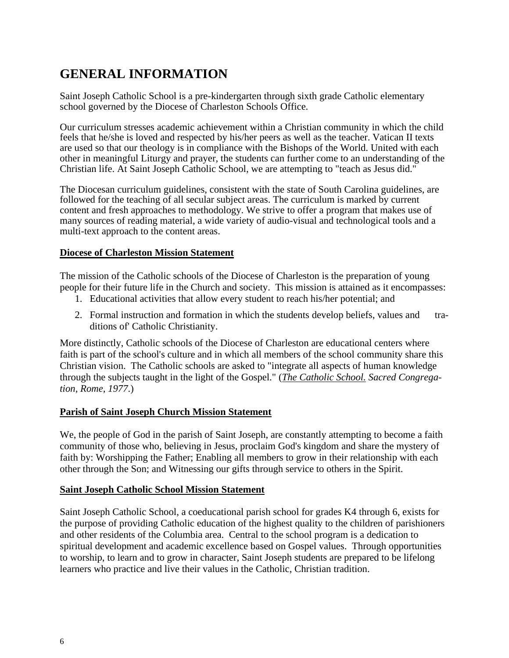## **GENERAL INFORMATION**

Saint Joseph Catholic School is a pre-kindergarten through sixth grade Catholic elementary school governed by the Diocese of Charleston Schools Office.

Our curriculum stresses academic achievement within a Christian community in which the child feels that he/she is loved and respected by his/her peers as well as the teacher. Vatican II texts are used so that our theology is in compliance with the Bishops of the World. United with each other in meaningful Liturgy and prayer, the students can further come to an understanding of the Christian life. At Saint Joseph Catholic School, we are attempting to "teach as Jesus did."

The Diocesan curriculum guidelines, consistent with the state of South Carolina guidelines, are followed for the teaching of all secular subject areas. The curriculum is marked by current content and fresh approaches to methodology. We strive to offer a program that makes use of many sources of reading material, a wide variety of audio-visual and technological tools and a multi-text approach to the content areas.

#### **Diocese of Charleston Mission Statement**

The mission of the Catholic schools of the Diocese of Charleston is the preparation of young people for their future life in the Church and society. This mission is attained as it encompasses:

- 1. Educational activities that allow every student to reach his/her potential; and
- 2. Formal instruction and formation in which the students develop beliefs, values and traditions of' Catholic Christianity.

More distinctly, Catholic schools of the Diocese of Charleston are educational centers where faith is part of the school's culture and in which all members of the school community share this Christian vision. The Catholic schools are asked to "integrate all aspects of human knowledge through the subjects taught in the light of the Gospel." (*The Catholic School. Sacred Congregation, Rome, 1977*.)

#### **Parish of Saint Joseph Church Mission Statement**

We, the people of God in the parish of Saint Joseph, are constantly attempting to become a faith community of those who, believing in Jesus, proclaim God's kingdom and share the mystery of faith by: Worshipping the Father; Enabling all members to grow in their relationship with each other through the Son; and Witnessing our gifts through service to others in the Spirit.

#### **Saint Joseph Catholic School Mission Statement**

Saint Joseph Catholic School, a coeducational parish school for grades K4 through 6, exists for the purpose of providing Catholic education of the highest quality to the children of parishioners and other residents of the Columbia area. Central to the school program is a dedication to spiritual development and academic excellence based on Gospel values. Through opportunities to worship, to learn and to grow in character, Saint Joseph students are prepared to be lifelong learners who practice and live their values in the Catholic, Christian tradition.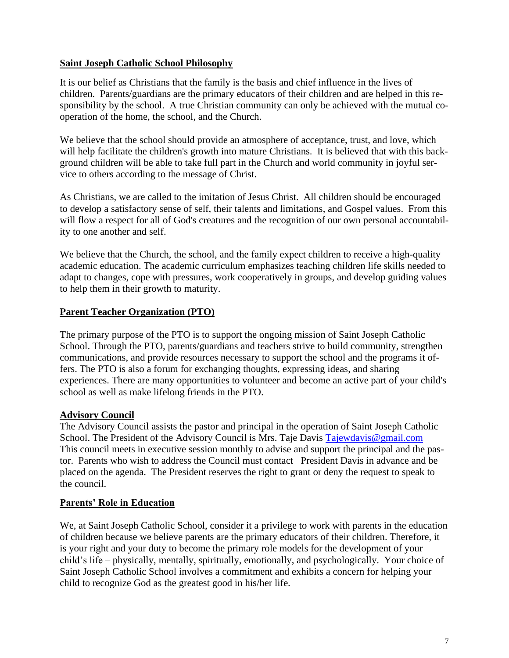#### **Saint Joseph Catholic School Philosophy**

It is our belief as Christians that the family is the basis and chief influence in the lives of children. Parents/guardians are the primary educators of their children and are helped in this responsibility by the school. A true Christian community can only be achieved with the mutual cooperation of the home, the school, and the Church.

We believe that the school should provide an atmosphere of acceptance, trust, and love, which will help facilitate the children's growth into mature Christians. It is believed that with this background children will be able to take full part in the Church and world community in joyful service to others according to the message of Christ.

As Christians, we are called to the imitation of Jesus Christ. All children should be encouraged to develop a satisfactory sense of self, their talents and limitations, and Gospel values. From this will flow a respect for all of God's creatures and the recognition of our own personal accountability to one another and self.

We believe that the Church, the school, and the family expect children to receive a high-quality academic education. The academic curriculum emphasizes teaching children life skills needed to adapt to changes, cope with pressures, work cooperatively in groups, and develop guiding values to help them in their growth to maturity.

#### **Parent Teacher Organization (PTO)**

The primary purpose of the PTO is to support the ongoing mission of Saint Joseph Catholic School. Through the PTO, parents/guardians and teachers strive to build community, strengthen communications, and provide resources necessary to support the school and the programs it offers. The PTO is also a forum for exchanging thoughts, expressing ideas, and sharing experiences. There are many opportunities to volunteer and become an active part of your child's school as well as make lifelong friends in the PTO.

#### **Advisory Council**

The Advisory Council assists the pastor and principal in the operation of Saint Joseph Catholic School. The President of the Advisory Council is Mrs. Taje Davis [Tajewdavis@gmail.com](mailto:Tajewdavis@gmail.com) This council meets in executive session monthly to advise and support the principal and the pastor. Parents who wish to address the Council must contact President Davis in advance and be placed on the agenda. The President reserves the right to grant or deny the request to speak to the council.

#### **Parents' Role in Education**

We, at Saint Joseph Catholic School, consider it a privilege to work with parents in the education of children because we believe parents are the primary educators of their children. Therefore, it is your right and your duty to become the primary role models for the development of your child's life – physically, mentally, spiritually, emotionally, and psychologically. Your choice of Saint Joseph Catholic School involves a commitment and exhibits a concern for helping your child to recognize God as the greatest good in his/her life.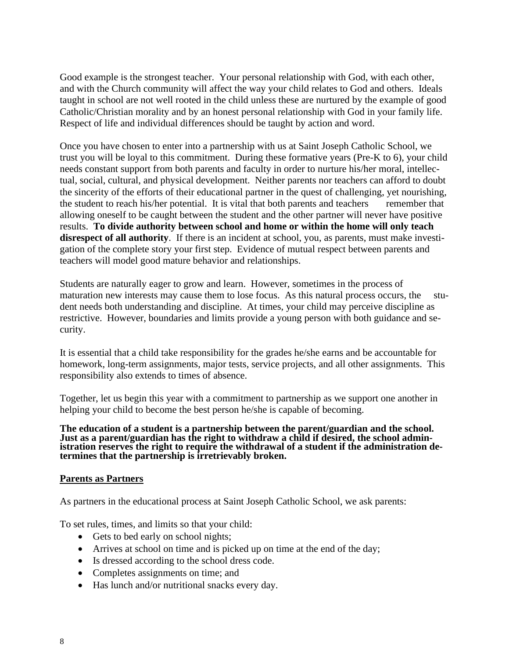Good example is the strongest teacher. Your personal relationship with God, with each other, and with the Church community will affect the way your child relates to God and others. Ideals taught in school are not well rooted in the child unless these are nurtured by the example of good Catholic/Christian morality and by an honest personal relationship with God in your family life. Respect of life and individual differences should be taught by action and word.

Once you have chosen to enter into a partnership with us at Saint Joseph Catholic School, we trust you will be loyal to this commitment. During these formative years (Pre-K to 6), your child needs constant support from both parents and faculty in order to nurture his/her moral, intellectual, social, cultural, and physical development. Neither parents nor teachers can afford to doubt the sincerity of the efforts of their educational partner in the quest of challenging, yet nourishing, the student to reach his/her potential. It is vital that both parents and teachers remember that allowing oneself to be caught between the student and the other partner will never have positive results. **To divide authority between school and home or within the home will only teach disrespect of all authority**. If there is an incident at school, you, as parents, must make investigation of the complete story your first step. Evidence of mutual respect between parents and teachers will model good mature behavior and relationships.

Students are naturally eager to grow and learn. However, sometimes in the process of maturation new interests may cause them to lose focus. As this natural process occurs, the student needs both understanding and discipline. At times, your child may perceive discipline as restrictive. However, boundaries and limits provide a young person with both guidance and security.

It is essential that a child take responsibility for the grades he/she earns and be accountable for homework, long-term assignments, major tests, service projects, and all other assignments. This responsibility also extends to times of absence.

Together, let us begin this year with a commitment to partnership as we support one another in helping your child to become the best person he/she is capable of becoming.

**The education of a student is a partnership between the parent/guardian and the school. Just as a parent/guardian has the right to withdraw a child if desired, the school administration reserves the right to require the withdrawal of a student if the administration determines that the partnership is irretrievably broken.**

#### **Parents as Partners**

As partners in the educational process at Saint Joseph Catholic School, we ask parents:

To set rules, times, and limits so that your child:

- Gets to bed early on school nights;
- Arrives at school on time and is picked up on time at the end of the day;
- Is dressed according to the school dress code.
- Completes assignments on time; and
- Has lunch and/or nutritional snacks every day.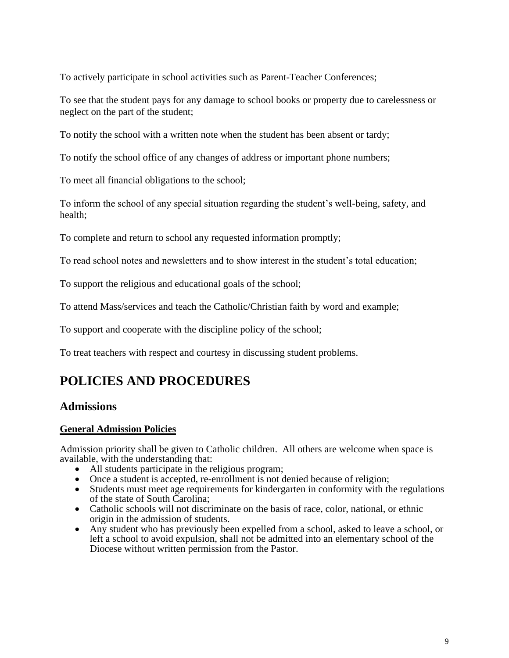To actively participate in school activities such as Parent-Teacher Conferences;

To see that the student pays for any damage to school books or property due to carelessness or neglect on the part of the student;

To notify the school with a written note when the student has been absent or tardy;

To notify the school office of any changes of address or important phone numbers;

To meet all financial obligations to the school;

To inform the school of any special situation regarding the student's well-being, safety, and health;

To complete and return to school any requested information promptly;

To read school notes and newsletters and to show interest in the student's total education;

To support the religious and educational goals of the school;

To attend Mass/services and teach the Catholic/Christian faith by word and example;

To support and cooperate with the discipline policy of the school;

To treat teachers with respect and courtesy in discussing student problems.

## **POLICIES AND PROCEDURES**

#### **Admissions**

#### **General Admission Policies**

Admission priority shall be given to Catholic children. All others are welcome when space is available, with the understanding that:

- All students participate in the religious program;
- Once a student is accepted, re-enrollment is not denied because of religion;
- Students must meet age requirements for kindergarten in conformity with the regulations of the state of South Carolina;
- Catholic schools will not discriminate on the basis of race, color, national, or ethnic origin in the admission of students.
- Any student who has previously been expelled from a school, asked to leave a school, or left a school to avoid expulsion, shall not be admitted into an elementary school of the Diocese without written permission from the Pastor.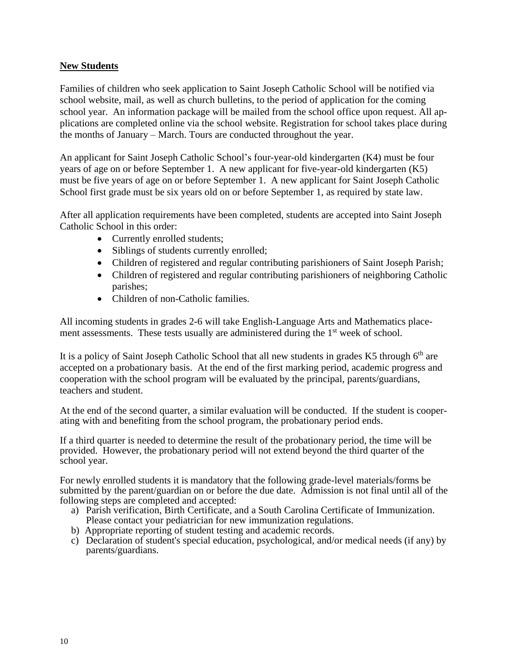#### **New Students**

Families of children who seek application to Saint Joseph Catholic School will be notified via school website, mail, as well as church bulletins, to the period of application for the coming school year. An information package will be mailed from the school office upon request. All applications are completed online via the school website. Registration for school takes place during the months of January – March. Tours are conducted throughout the year.

An applicant for Saint Joseph Catholic School's four-year-old kindergarten (K4) must be four years of age on or before September 1. A new applicant for five-year-old kindergarten (K5) must be five years of age on or before September 1. A new applicant for Saint Joseph Catholic School first grade must be six years old on or before September 1, as required by state law.

After all application requirements have been completed, students are accepted into Saint Joseph Catholic School in this order:

- Currently enrolled students;
- Siblings of students currently enrolled;
- Children of registered and regular contributing parishioners of Saint Joseph Parish;
- Children of registered and regular contributing parishioners of neighboring Catholic parishes;
- Children of non-Catholic families.

All incoming students in grades 2-6 will take English-Language Arts and Mathematics placement assessments. These tests usually are administered during the 1<sup>st</sup> week of school.

It is a policy of Saint Joseph Catholic School that all new students in grades K5 through 6<sup>th</sup> are accepted on a probationary basis. At the end of the first marking period, academic progress and cooperation with the school program will be evaluated by the principal, parents/guardians, teachers and student.

At the end of the second quarter, a similar evaluation will be conducted. If the student is cooperating with and benefiting from the school program, the probationary period ends.

If a third quarter is needed to determine the result of the probationary period, the time will be provided. However, the probationary period will not extend beyond the third quarter of the school year.

For newly enrolled students it is mandatory that the following grade-level materials/forms be submitted by the parent/guardian on or before the due date. Admission is not final until all of the following steps are completed and accepted:

- a) Parish verification, Birth Certificate, and a South Carolina Certificate of Immunization. Please contact your pediatrician for new immunization regulations.
- b) Appropriate reporting of student testing and academic records.
- c) Declaration of student's special education, psychological, and/or medical needs (if any) by parents/guardians.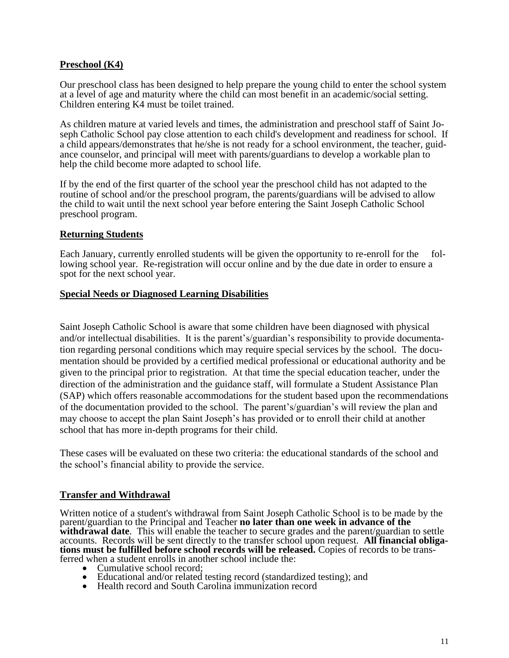#### **Preschool (K4)**

Our preschool class has been designed to help prepare the young child to enter the school system at a level of age and maturity where the child can most benefit in an academic/social setting. Children entering K4 must be toilet trained.

As children mature at varied levels and times, the administration and preschool staff of Saint Joseph Catholic School pay close attention to each child's development and readiness for school. If a child appears/demonstrates that he/she is not ready for a school environment, the teacher, guidance counselor, and principal will meet with parents/guardians to develop a workable plan to help the child become more adapted to school life.

If by the end of the first quarter of the school year the preschool child has not adapted to the routine of school and/or the preschool program, the parents/guardians will be advised to allow the child to wait until the next school year before entering the Saint Joseph Catholic School preschool program.

#### **Returning Students**

Each January, currently enrolled students will be given the opportunity to re-enroll for the following school year. Re-registration will occur online and by the due date in order to ensure a spot for the next school year.

#### **Special Needs or Diagnosed Learning Disabilities**

Saint Joseph Catholic School is aware that some children have been diagnosed with physical and/or intellectual disabilities. It is the parent's/guardian's responsibility to provide documentation regarding personal conditions which may require special services by the school. The documentation should be provided by a certified medical professional or educational authority and be given to the principal prior to registration. At that time the special education teacher, under the direction of the administration and the guidance staff, will formulate a Student Assistance Plan (SAP) which offers reasonable accommodations for the student based upon the recommendations of the documentation provided to the school. The parent's/guardian's will review the plan and may choose to accept the plan Saint Joseph's has provided or to enroll their child at another school that has more in-depth programs for their child.

These cases will be evaluated on these two criteria: the educational standards of the school and the school's financial ability to provide the service.

#### **Transfer and Withdrawal**

Written notice of a student's withdrawal from Saint Joseph Catholic School is to be made by the parent/guardian to the Principal and Teacher **no later than one week in advance of the withdrawal date**. This will enable the teacher to secure grades and the parent/guardian to settle accounts. Records will be sent directly to the transfer school upon request. **All financial obligations must be fulfilled before school records will be released.** Copies of records to be transferred when a student enrolls in another school include the:

- Cumulative school record:
- Educational and/or related testing record (standardized testing); and
- Health record and South Carolina immunization record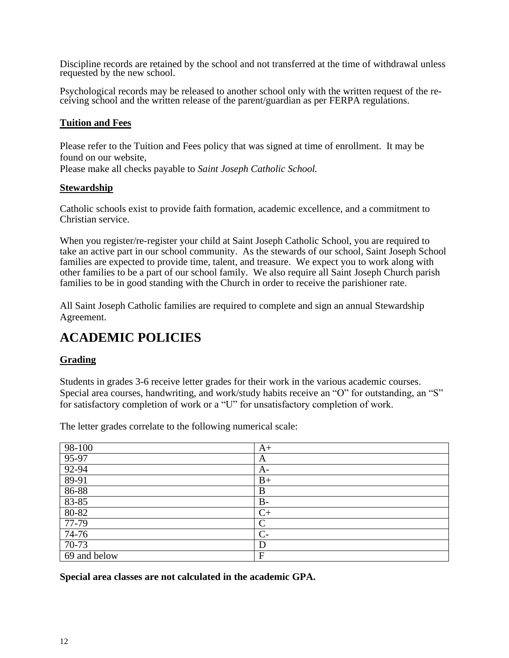Discipline records are retained by the school and not transferred at the time of withdrawal unless requested by the new school.

Psychological records may be released to another school only with the written request of the receiving school and the written release of the parent/guardian as per FERPA regulations.

#### **Tuition and Fees**

Please refer to the Tuition and Fees policy that was signed at time of enrollment. It may be found on our website,

Please make all checks payable to *Saint Joseph Catholic School.*

#### **Stewardship**

Catholic schools exist to provide faith formation, academic excellence, and a commitment to Christian service.

When you register/re-register your child at Saint Joseph Catholic School, you are required to take an active part in our school community. As the stewards of our school, Saint Joseph School families are expected to provide time, talent, and treasure. We expect you to work along with other families to be a part of our school family. We also require all Saint Joseph Church parish families to be in good standing with the Church in order to receive the parishioner rate.

All Saint Joseph Catholic families are required to complete and sign an annual Stewardship Agreement.

## **ACADEMIC POLICIES**

#### **Grading**

Students in grades 3-6 receive letter grades for their work in the various academic courses. Special area courses, handwriting, and work/study habits receive an "O" for outstanding, an "S" for satisfactory completion of work or a "U" for unsatisfactory completion of work.

The letter grades correlate to the following numerical scale:

| $98-100$     | $A+$      |
|--------------|-----------|
| $95-97$      | A         |
| 92-94        | A-        |
| $89-91$      | $B+$      |
| 86-88        | B         |
| $83 - 85$    | $B-$      |
| 80-82        | $C_{\pm}$ |
| $77-79$      | $\subset$ |
| 74-76        | $C-$      |
| $70-73$      | D         |
| 69 and below | F         |

**Special area classes are not calculated in the academic GPA.**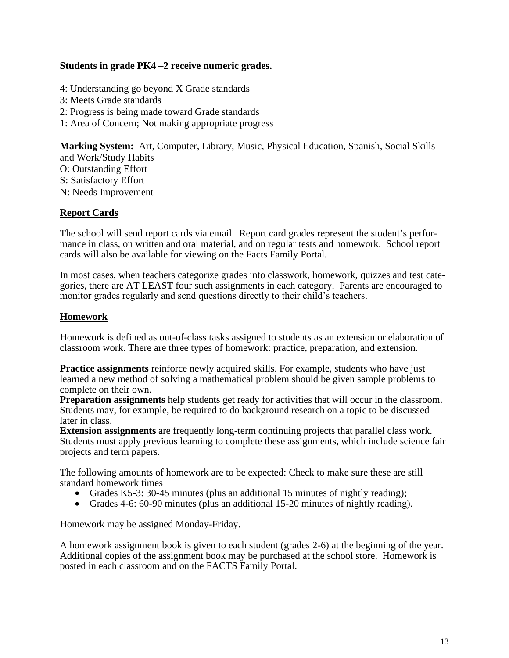#### **Students in grade PK4 –2 receive numeric grades.**

- 4: Understanding go beyond X Grade standards
- 3: Meets Grade standards
- 2: Progress is being made toward Grade standards
- 1: Area of Concern; Not making appropriate progress

**Marking System:** Art, Computer, Library, Music, Physical Education, Spanish, Social Skills and Work/Study Habits

- O: Outstanding Effort
- S: Satisfactory Effort
- N: Needs Improvement

#### **Report Cards**

The school will send report cards via email. Report card grades represent the student's performance in class, on written and oral material, and on regular tests and homework. School report cards will also be available for viewing on the Facts Family Portal.

In most cases, when teachers categorize grades into classwork, homework, quizzes and test categories, there are AT LEAST four such assignments in each category. Parents are encouraged to monitor grades regularly and send questions directly to their child's teachers.

#### **Homework**

Homework is defined as out-of-class tasks assigned to students as an extension or elaboration of classroom work. There are three types of homework: practice, preparation, and extension.

**Practice assignments** reinforce newly acquired skills. For example, students who have just learned a new method of solving a mathematical problem should be given sample problems to complete on their own.

**Preparation assignments** help students get ready for activities that will occur in the classroom. Students may, for example, be required to do background research on a topic to be discussed later in class.

**Extension assignments** are frequently long-term continuing projects that parallel class work. Students must apply previous learning to complete these assignments, which include science fair projects and term papers.

The following amounts of homework are to be expected: Check to make sure these are still standard homework times

- Grades K5-3: 30-45 minutes (plus an additional 15 minutes of nightly reading);
- Grades 4-6: 60-90 minutes (plus an additional 15-20 minutes of nightly reading).

Homework may be assigned Monday-Friday.

A homework assignment book is given to each student (grades 2-6) at the beginning of the year. Additional copies of the assignment book may be purchased at the school store. Homework is posted in each classroom and on the FACTS Family Portal.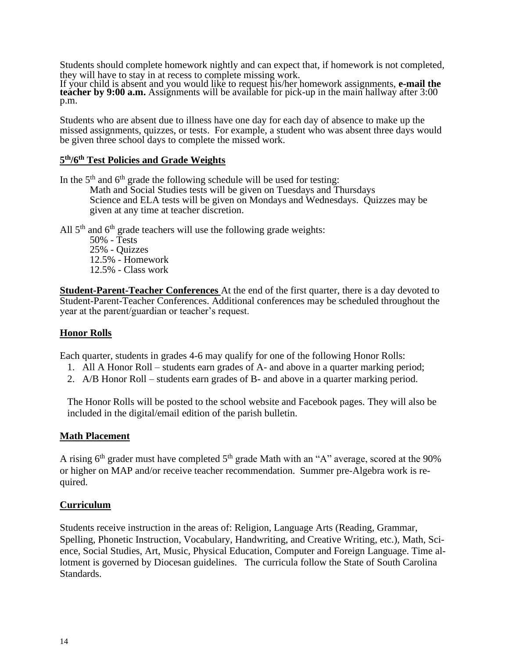Students should complete homework nightly and can expect that, if homework is not completed, they will have to stay in at recess to complete missing work.

If your child is absent and you would like to request his/her homework assignments, **e-mail the teacher by 9:00 a.m.** Assignments will be available for pick-up in the main hallway after 3:00 p.m.

Students who are absent due to illness have one day for each day of absence to make up the missed assignments, quizzes, or tests. For example, a student who was absent three days would be given three school days to complete the missed work.

#### **5 th/6th Test Policies and Grade Weights**

In the  $5<sup>th</sup>$  and  $6<sup>th</sup>$  grade the following schedule will be used for testing: Math and Social Studies tests will be given on Tuesdays and Thursdays Science and ELA tests will be given on Mondays and Wednesdays. Quizzes may be given at any time at teacher discretion.

All  $5<sup>th</sup>$  and  $6<sup>th</sup>$  grade teachers will use the following grade weights:

50% - Tests 25% - Quizzes 12.5% - Homework 12.5% - Class work

**Student-Parent-Teacher Conferences** At the end of the first quarter, there is a day devoted to Student-Parent-Teacher Conferences. Additional conferences may be scheduled throughout the year at the parent/guardian or teacher's request.

#### **Honor Rolls**

Each quarter, students in grades 4-6 may qualify for one of the following Honor Rolls:

- 1. All A Honor Roll students earn grades of A- and above in a quarter marking period;
- 2. A/B Honor Roll students earn grades of B- and above in a quarter marking period.

The Honor Rolls will be posted to the school website and Facebook pages. They will also be included in the digital/email edition of the parish bulletin.

#### **Math Placement**

A rising  $6<sup>th</sup>$  grader must have completed  $5<sup>th</sup>$  grade Math with an "A" average, scored at the 90% or higher on MAP and/or receive teacher recommendation. Summer pre-Algebra work is required.

#### **Curriculum**

Students receive instruction in the areas of: Religion, Language Arts (Reading, Grammar, Spelling, Phonetic Instruction, Vocabulary, Handwriting, and Creative Writing, etc.), Math, Science, Social Studies, Art, Music, Physical Education, Computer and Foreign Language. Time allotment is governed by Diocesan guidelines. The curricula follow the State of South Carolina Standards.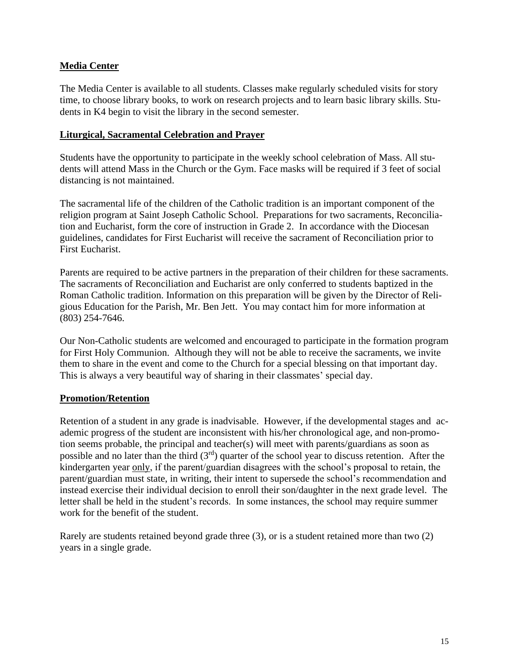#### **Media Center**

The Media Center is available to all students. Classes make regularly scheduled visits for story time, to choose library books, to work on research projects and to learn basic library skills. Students in K4 begin to visit the library in the second semester.

#### **Liturgical, Sacramental Celebration and Prayer**

Students have the opportunity to participate in the weekly school celebration of Mass. All students will attend Mass in the Church or the Gym. Face masks will be required if 3 feet of social distancing is not maintained.

The sacramental life of the children of the Catholic tradition is an important component of the religion program at Saint Joseph Catholic School. Preparations for two sacraments, Reconciliation and Eucharist, form the core of instruction in Grade 2. In accordance with the Diocesan guidelines, candidates for First Eucharist will receive the sacrament of Reconciliation prior to First Eucharist.

Parents are required to be active partners in the preparation of their children for these sacraments. The sacraments of Reconciliation and Eucharist are only conferred to students baptized in the Roman Catholic tradition. Information on this preparation will be given by the Director of Religious Education for the Parish, Mr. Ben Jett. You may contact him for more information at (803) 254-7646.

Our Non-Catholic students are welcomed and encouraged to participate in the formation program for First Holy Communion. Although they will not be able to receive the sacraments, we invite them to share in the event and come to the Church for a special blessing on that important day. This is always a very beautiful way of sharing in their classmates' special day.

#### **Promotion/Retention**

Retention of a student in any grade is inadvisable. However, if the developmental stages and academic progress of the student are inconsistent with his/her chronological age, and non-promotion seems probable, the principal and teacher(s) will meet with parents/guardians as soon as possible and no later than the third  $(3<sup>rd</sup>)$  quarter of the school year to discuss retention. After the kindergarten year only, if the parent/guardian disagrees with the school's proposal to retain, the parent/guardian must state, in writing, their intent to supersede the school's recommendation and instead exercise their individual decision to enroll their son/daughter in the next grade level. The letter shall be held in the student's records. In some instances, the school may require summer work for the benefit of the student.

Rarely are students retained beyond grade three (3), or is a student retained more than two (2) years in a single grade.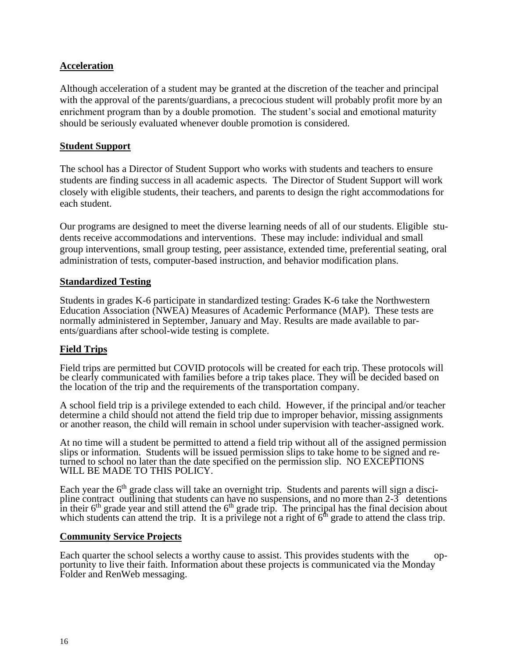#### **Acceleration**

Although acceleration of a student may be granted at the discretion of the teacher and principal with the approval of the parents/guardians, a precocious student will probably profit more by an enrichment program than by a double promotion. The student's social and emotional maturity should be seriously evaluated whenever double promotion is considered.

#### **Student Support**

The school has a Director of Student Support who works with students and teachers to ensure students are finding success in all academic aspects. The Director of Student Support will work closely with eligible students, their teachers, and parents to design the right accommodations for each student.

Our programs are designed to meet the diverse learning needs of all of our students. Eligible students receive accommodations and interventions. These may include: individual and small group interventions, small group testing, peer assistance, extended time, preferential seating, oral administration of tests, computer-based instruction, and behavior modification plans.

#### **Standardized Testing**

Students in grades K-6 participate in standardized testing: Grades K-6 take the Northwestern Education Association (NWEA) Measures of Academic Performance (MAP). These tests are normally administered in September, January and May. Results are made available to parents/guardians after school-wide testing is complete.

#### **Field Trips**

Field trips are permitted but COVID protocols will be created for each trip. These protocols will be clearly communicated with families before a trip takes place. They will be decided based on the location of the trip and the requirements of the transportation company.

A school field trip is a privilege extended to each child. However, if the principal and/or teacher determine a child should not attend the field trip due to improper behavior, missing assignments or another reason, the child will remain in school under supervision with teacher-assigned work.

At no time will a student be permitted to attend a field trip without all of the assigned permission slips or information. Students will be issued permission slips to take home to be signed and returned to school no later than the date specified on the permission slip. NO EXCEPTIONS WILL BE MADE TO THIS POLICY.

Each year the 6<sup>th</sup> grade class will take an overnight trip. Students and parents will sign a discipline contract outlining that students can have no suspensions, and no more than 2-3 detentions in their  $6<sup>th</sup>$  grade year and still attend the  $6<sup>th</sup>$  grade trip. The principal has the final decision about which students can attend the trip. It is a privilege not a right of  $6<sup>th</sup>$  grade to attend the class trip.

#### **Community Service Projects**

Each quarter the school selects a worthy cause to assist. This provides students with the opportunity to live their faith. Information about these projects is communicated via the Monday Folder and RenWeb messaging.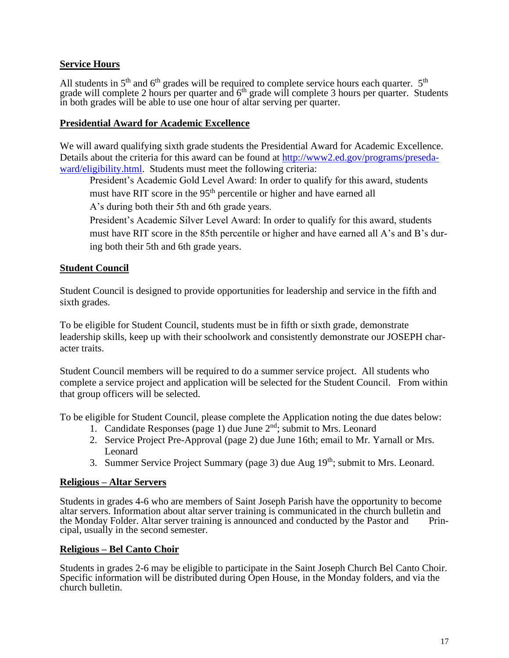#### **Service Hours**

All students in  $5<sup>th</sup>$  and  $6<sup>th</sup>$  grades will be required to complete service hours each quarter.  $5<sup>th</sup>$ grade will complete 2 hours per quarter and  $6<sup>th</sup>$  grade will complete 3 hours per quarter. Students in both grades will be able to use one hour of altar serving per quarter.

#### **Presidential Award for Academic Excellence**

We will award qualifying sixth grade students the Presidential Award for Academic Excellence. Details about the criteria for this award can be found at [http://www2.ed.gov/programs/preseda](http://www2.ed.gov/programs/presedaward/eligibility.html)[ward/eligibility.html.](http://www2.ed.gov/programs/presedaward/eligibility.html) Students must meet the following criteria:

President's Academic Gold Level Award: In order to qualify for this award, students must have RIT score in the 95<sup>th</sup> percentile or higher and have earned all

A's during both their 5th and 6th grade years.

President's Academic Silver Level Award: In order to qualify for this award, students must have RIT score in the 85th percentile or higher and have earned all A's and B's during both their 5th and 6th grade years.

#### **Student Council**

Student Council is designed to provide opportunities for leadership and service in the fifth and sixth grades.

To be eligible for Student Council, students must be in fifth or sixth grade, demonstrate leadership skills, keep up with their schoolwork and consistently demonstrate our JOSEPH character traits.

Student Council members will be required to do a summer service project. All students who complete a service project and application will be selected for the Student Council. From within that group officers will be selected.

To be eligible for Student Council, please complete the Application noting the due dates below:

- 1. Candidate Responses (page 1) due June  $2<sup>nd</sup>$ ; submit to Mrs. Leonard
- 2. Service Project Pre-Approval (page 2) due June 16th; email to Mr. Yarnall or Mrs. Leonard
- 3. Summer Service Project Summary (page 3) due Aug 19<sup>th</sup>; submit to Mrs. Leonard.

#### **Religious – Altar Servers**

Students in grades 4-6 who are members of Saint Joseph Parish have the opportunity to become altar servers. Information about altar server training is communicated in the church bulletin and the Monday Folder. Altar server training is announced and conducted by the Pastor and Printhe Monday Folder. Altar server training is announced and conducted by the Pastor and cipal, usually in the second semester.

#### **Religious – Bel Canto Choir**

Students in grades 2-6 may be eligible to participate in the Saint Joseph Church Bel Canto Choir. Specific information will be distributed during Open House, in the Monday folders, and via the church bulletin.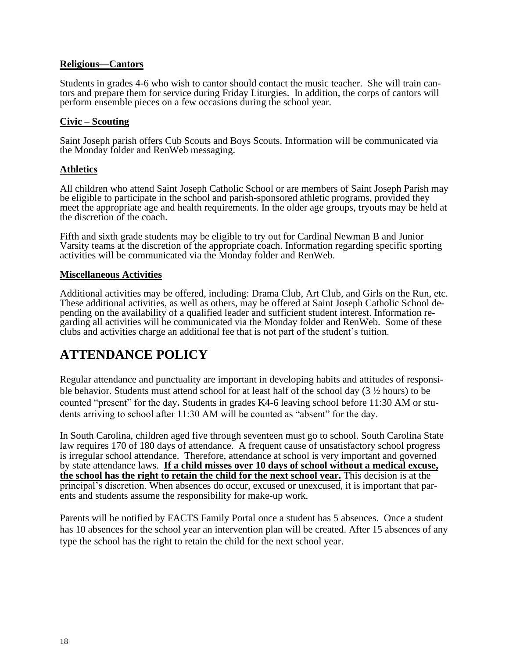#### **Religious—Cantors**

Students in grades 4-6 who wish to cantor should contact the music teacher. She will train cantors and prepare them for service during Friday Liturgies. In addition, the corps of cantors will perform ensemble pieces on a few occasions during the school year.

#### **Civic – Scouting**

Saint Joseph parish offers Cub Scouts and Boys Scouts. Information will be communicated via the Monday folder and RenWeb messaging.

#### **Athletics**

All children who attend Saint Joseph Catholic School or are members of Saint Joseph Parish may be eligible to participate in the school and parish-sponsored athletic programs, provided they meet the appropriate age and health requirements. In the older age groups, tryouts may be held at the discretion of the coach.

Fifth and sixth grade students may be eligible to try out for Cardinal Newman B and Junior Varsity teams at the discretion of the appropriate coach. Information regarding specific sporting activities will be communicated via the Monday folder and RenWeb.

#### **Miscellaneous Activities**

Additional activities may be offered, including: Drama Club, Art Club, and Girls on the Run, etc. These additional activities, as well as others, may be offered at Saint Joseph Catholic School depending on the availability of a qualified leader and sufficient student interest. Information regarding all activities will be communicated via the Monday folder and RenWeb. Some of these clubs and activities charge an additional fee that is not part of the student's tuition.

## **ATTENDANCE POLICY**

Regular attendance and punctuality are important in developing habits and attitudes of responsible behavior. Students must attend school for at least half of the school day (3 ½ hours) to be counted "present" for the day**.** Students in grades K4-6 leaving school before 11:30 AM or students arriving to school after 11:30 AM will be counted as "absent" for the day.

In South Carolina, children aged five through seventeen must go to school. South Carolina State law requires 170 of 180 days of attendance. A frequent cause of unsatisfactory school progress is irregular school attendance. Therefore, attendance at school is very important and governed by state attendance laws. **If a child misses over 10 days of school without a medical excuse, the school has the right to retain the child for the next school year.** This decision is at the principal's discretion. When absences do occur, excused or unexcused, it is important that parents and students assume the responsibility for make-up work.

Parents will be notified by FACTS Family Portal once a student has 5 absences. Once a student has 10 absences for the school year an intervention plan will be created. After 15 absences of any type the school has the right to retain the child for the next school year.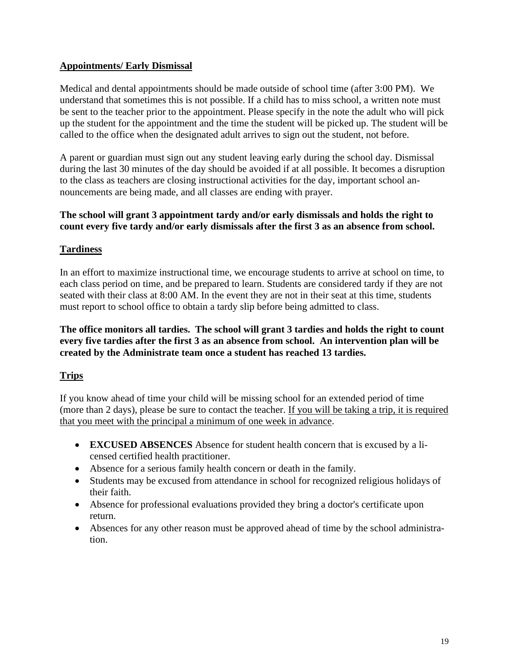#### **Appointments/ Early Dismissal**

Medical and dental appointments should be made outside of school time (after 3:00 PM).We understand that sometimes this is not possible. If a child has to miss school, a written note must be sent to the teacher prior to the appointment. Please specify in the note the adult who will pick up the student for the appointment and the time the student will be picked up. The student will be called to the office when the designated adult arrives to sign out the student, not before.

A parent or guardian must sign out any student leaving early during the school day. Dismissal during the last 30 minutes of the day should be avoided if at all possible. It becomes a disruption to the class as teachers are closing instructional activities for the day, important school announcements are being made, and all classes are ending with prayer.

#### **The school will grant 3 appointment tardy and/or early dismissals and holds the right to count every five tardy and/or early dismissals after the first 3 as an absence from school.**

#### **Tardiness**

In an effort to maximize instructional time, we encourage students to arrive at school on time, to each class period on time, and be prepared to learn. Students are considered tardy if they are not seated with their class at 8:00 AM. In the event they are not in their seat at this time, students must report to school office to obtain a tardy slip before being admitted to class.

#### **The office monitors all tardies. The school will grant 3 tardies and holds the right to count every five tardies after the first 3 as an absence from school. An intervention plan will be created by the Administrate team once a student has reached 13 tardies.**

#### **Trips**

If you know ahead of time your child will be missing school for an extended period of time (more than 2 days), please be sure to contact the teacher. If you will be taking a trip, it is required that you meet with the principal a minimum of one week in advance.

- **EXCUSED ABSENCES** Absence for student health concern that is excused by a licensed certified health practitioner.
- Absence for a serious family health concern or death in the family.
- Students may be excused from attendance in school for recognized religious holidays of their faith.
- Absence for professional evaluations provided they bring a doctor's certificate upon return.
- Absences for any other reason must be approved ahead of time by the school administration.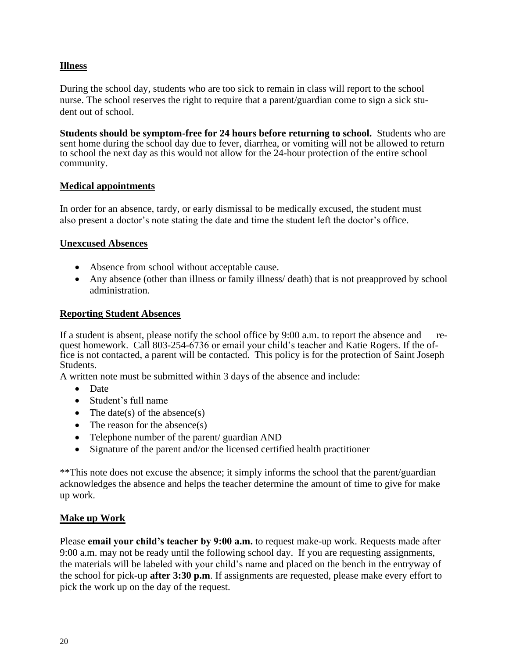#### **Illness**

During the school day, students who are too sick to remain in class will report to the school nurse. The school reserves the right to require that a parent/guardian come to sign a sick student out of school.

**Students should be symptom-free for 24 hours before returning to school.** Students who are sent home during the school day due to fever, diarrhea, or vomiting will not be allowed to return to school the next day as this would not allow for the 24-hour protection of the entire school community.

#### **Medical appointments**

In order for an absence, tardy, or early dismissal to be medically excused, the student must also present a doctor's note stating the date and time the student left the doctor's office.

#### **Unexcused Absences**

- Absence from school without acceptable cause.
- Any absence (other than illness or family illness/ death) that is not preapproved by school administration.

#### **Reporting Student Absences**

If a student is absent, please notify the school office by 9:00 a.m. to report the absence and request homework. Call 803-254-6736 or email your child's teacher and Katie Rogers. If the office is not contacted, a parent will be contacted. This policy is for the protection of Saint Joseph Students.

A written note must be submitted within 3 days of the absence and include:

- Date
- Student's full name
- The date(s) of the absence(s)
- The reason for the absence $(s)$
- Telephone number of the parent/ guardian AND
- Signature of the parent and/or the licensed certified health practitioner

\*\*This note does not excuse the absence; it simply informs the school that the parent/guardian acknowledges the absence and helps the teacher determine the amount of time to give for make up work.

#### **Make up Work**

Please **email your child's teacher by 9:00 a.m.** to request make-up work. Requests made after 9:00 a.m. may not be ready until the following school day. If you are requesting assignments, the materials will be labeled with your child's name and placed on the bench in the entryway of the school for pick-up **after 3:30 p.m**. If assignments are requested, please make every effort to pick the work up on the day of the request.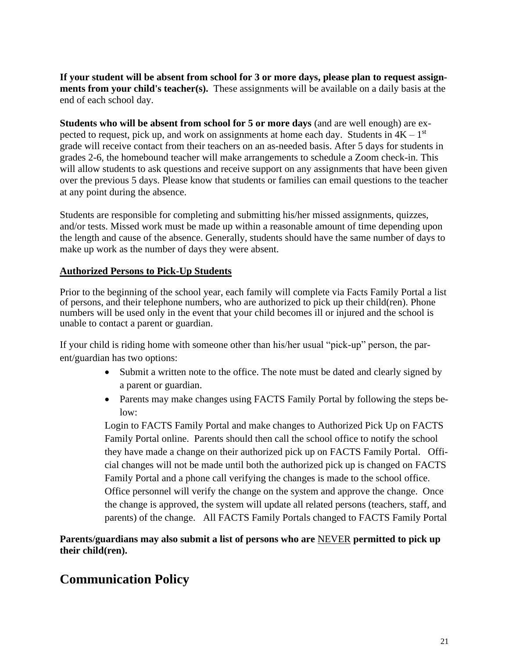**If your student will be absent from school for 3 or more days, please plan to request assignments from your child's teacher(s).** These assignments will be available on a daily basis at the end of each school day.

**Students who will be absent from school for 5 or more days** (and are well enough) are expected to request, pick up, and work on assignments at home each day. Students in  $4K - 1<sup>st</sup>$ grade will receive contact from their teachers on an as-needed basis. After 5 days for students in grades 2-6, the homebound teacher will make arrangements to schedule a Zoom check-in. This will allow students to ask questions and receive support on any assignments that have been given over the previous 5 days. Please know that students or families can email questions to the teacher at any point during the absence.

Students are responsible for completing and submitting his/her missed assignments, quizzes, and/or tests. Missed work must be made up within a reasonable amount of time depending upon the length and cause of the absence. Generally, students should have the same number of days to make up work as the number of days they were absent.

#### **Authorized Persons to Pick-Up Students**

Prior to the beginning of the school year, each family will complete via Facts Family Portal a list of persons, and their telephone numbers, who are authorized to pick up their child(ren). Phone numbers will be used only in the event that your child becomes ill or injured and the school is unable to contact a parent or guardian.

If your child is riding home with someone other than his/her usual "pick-up" person, the parent/guardian has two options:

- Submit a written note to the office. The note must be dated and clearly signed by a parent or guardian.
- Parents may make changes using FACTS Family Portal by following the steps below:

Login to FACTS Family Portal and make changes to Authorized Pick Up on FACTS Family Portal online. Parents should then call the school office to notify the school they have made a change on their authorized pick up on FACTS Family Portal. Official changes will not be made until both the authorized pick up is changed on FACTS Family Portal and a phone call verifying the changes is made to the school office. Office personnel will verify the change on the system and approve the change. Once the change is approved, the system will update all related persons (teachers, staff, and parents) of the change. All FACTS Family Portals changed to FACTS Family Portal

**Parents/guardians may also submit a list of persons who are** NEVER **permitted to pick up their child(ren).**

## **Communication Policy**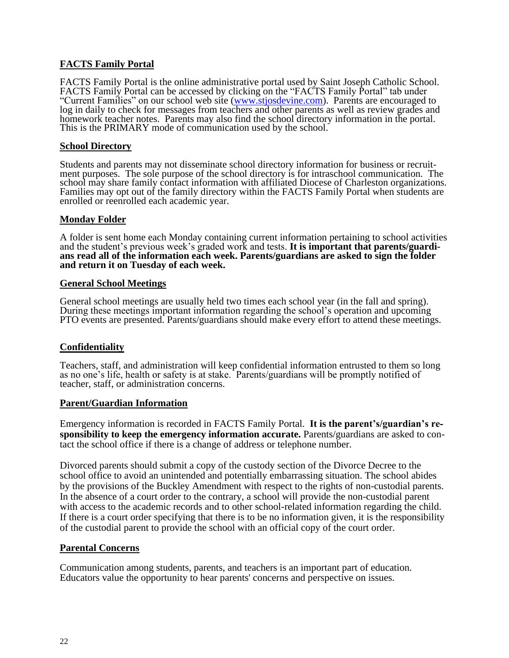#### **FACTS Family Portal**

FACTS Family Portal is the online administrative portal used by Saint Joseph Catholic School. FACTS Family Portal can be accessed by clicking on the "FACTS Family Portal" tab under "Current Families" on our school web site [\(www.stjosdevine.com\)](http://www.stjosdevine.com/). Parents are encouraged to log in daily to check for messages from teachers and other parents as well as review grades and homework teacher notes. Parents may also find the school directory information in the portal. This is the PRIMARY mode of communication used by the school.

#### **School Directory**

Students and parents may not disseminate school directory information for business or recruitment purposes. The sole purpose of the school directory is for intraschool communication. The school may share family contact information with affiliated Diocese of Charleston organizations. Families may opt out of the family directory within the FACTS Family Portal when students are enrolled or reenrolled each academic year.

#### **Monday Folder**

A folder is sent home each Monday containing current information pertaining to school activities and the student's previous week's graded work and tests. **It is important that parents/guardians read all of the information each week. Parents/guardians are asked to sign the folder and return it on Tuesday of each week.**

#### **General School Meetings**

General school meetings are usually held two times each school year (in the fall and spring). During these meetings important information regarding the school's operation and upcoming PTO events are presented. Parents/guardians should make every effort to attend these meetings.

#### **Confidentiality**

Teachers, staff, and administration will keep confidential information entrusted to them so long as no one's life, health or safety is at stake. Parents/guardians will be promptly notified of teacher, staff, or administration concerns.

#### **Parent/Guardian Information**

Emergency information is recorded in FACTS Family Portal. **It is the parent's/guardian's responsibility to keep the emergency information accurate.** Parents/guardians are asked to contact the school office if there is a change of address or telephone number.

Divorced parents should submit a copy of the custody section of the Divorce Decree to the school office to avoid an unintended and potentially embarrassing situation. The school abides by the provisions of the Buckley Amendment with respect to the rights of non-custodial parents. In the absence of a court order to the contrary, a school will provide the non-custodial parent with access to the academic records and to other school-related information regarding the child. If there is a court order specifying that there is to be no information given, it is the responsibility of the custodial parent to provide the school with an official copy of the court order.

#### **Parental Concerns**

Communication among students, parents, and teachers is an important part of education. Educators value the opportunity to hear parents' concerns and perspective on issues.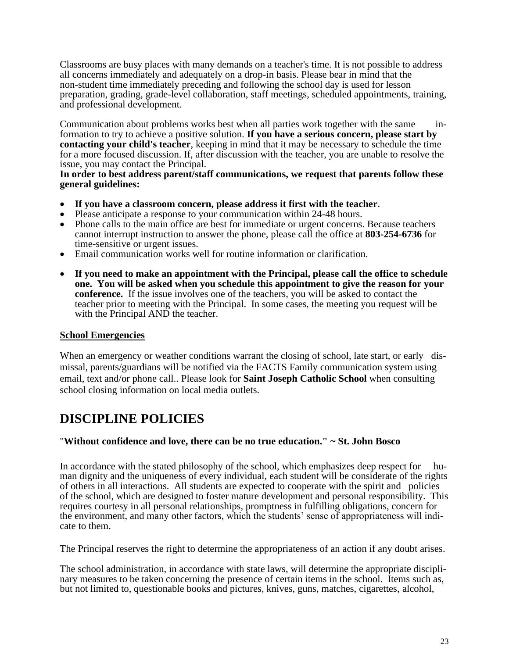Classrooms are busy places with many demands on a teacher's time. It is not possible to address all concerns immediately and adequately on a drop-in basis. Please bear in mind that the non-student time immediately preceding and following the school day is used for lesson preparation, grading, grade-level collaboration, staff meetings, scheduled appointments, training, and professional development.

Communication about problems works best when all parties work together with the same information to try to achieve a positive solution. **If you have a serious concern, please start by contacting your child's teacher**, keeping in mind that it may be necessary to schedule the time for a more focused discussion. If, after discussion with the teacher, you are unable to resolve the issue, you may contact the Principal.

#### **In order to best address parent/staff communications, we request that parents follow these general guidelines:**

- **If you have a classroom concern, please address it first with the teacher**.
- Please anticipate a response to your communication within 24-48 hours.
- Phone calls to the main office are best for immediate or urgent concerns. Because teachers cannot interrupt instruction to answer the phone, please call the office at **803-254-6736** for time-sensitive or urgent issues.
- Email communication works well for routine information or clarification.
- **If you need to make an appointment with the Principal, please call the office to schedule one. You will be asked when you schedule this appointment to give the reason for your conference.** If the issue involves one of the teachers, you will be asked to contact the teacher prior to meeting with the Principal. In some cases, the meeting you request will be with the Principal AND the teacher.

#### **School Emergencies**

When an emergency or weather conditions warrant the closing of school, late start, or early dismissal, parents/guardians will be notified via the FACTS Family communication system using email, text and/or phone call.. Please look for **Saint Joseph Catholic School** when consulting school closing information on local media outlets.

## **DISCIPLINE POLICIES**

#### "**Without confidence and love, there can be no true education." ~ St. John Bosco**

In accordance with the stated philosophy of the school, which emphasizes deep respect for human dignity and the uniqueness of every individual, each student will be considerate of the rights of others in all interactions. All students are expected to cooperate with the spirit and policies of the school, which are designed to foster mature development and personal responsibility. This requires courtesy in all personal relationships, promptness in fulfilling obligations, concern for the environment, and many other factors, which the students' sense of appropriateness will indicate to them.

The Principal reserves the right to determine the appropriateness of an action if any doubt arises.

The school administration, in accordance with state laws, will determine the appropriate disciplinary measures to be taken concerning the presence of certain items in the school. Items such as, but not limited to, questionable books and pictures, knives, guns, matches, cigarettes, alcohol,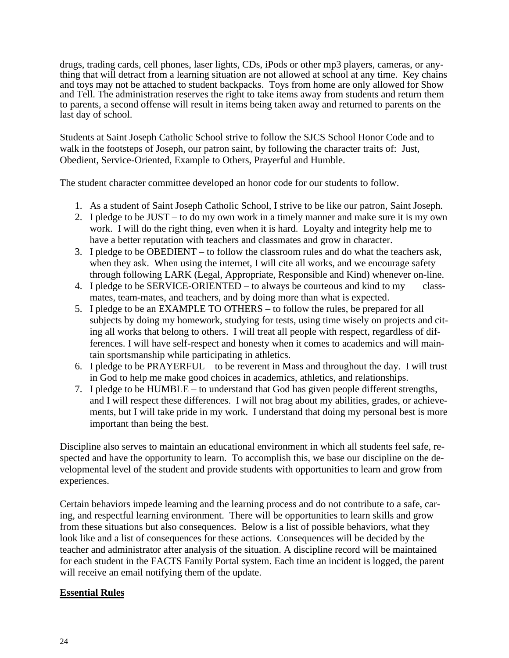drugs, trading cards, cell phones, laser lights, CDs, iPods or other mp3 players, cameras, or anything that will detract from a learning situation are not allowed at school at any time. Key chains and toys may not be attached to student backpacks. Toys from home are only allowed for Show and Tell. The administration reserves the right to take items away from students and return them to parents, a second offense will result in items being taken away and returned to parents on the last day of school.

Students at Saint Joseph Catholic School strive to follow the SJCS School Honor Code and to walk in the footsteps of Joseph, our patron saint, by following the character traits of: Just, Obedient, Service-Oriented, Example to Others, Prayerful and Humble.

The student character committee developed an honor code for our students to follow.

- 1. As a student of Saint Joseph Catholic School, I strive to be like our patron, Saint Joseph.
- 2. I pledge to be JUST to do my own work in a timely manner and make sure it is my own work. I will do the right thing, even when it is hard. Loyalty and integrity help me to have a better reputation with teachers and classmates and grow in character.
- 3. I pledge to be OBEDIENT to follow the classroom rules and do what the teachers ask, when they ask. When using the internet, I will cite all works, and we encourage safety through following LARK (Legal, Appropriate, Responsible and Kind) whenever on-line.
- 4. I pledge to be SERVICE-ORIENTED to always be courteous and kind to my classmates, team-mates, and teachers, and by doing more than what is expected.
- 5. I pledge to be an EXAMPLE TO OTHERS to follow the rules, be prepared for all subjects by doing my homework, studying for tests, using time wisely on projects and citing all works that belong to others. I will treat all people with respect, regardless of differences. I will have self-respect and honesty when it comes to academics and will maintain sportsmanship while participating in athletics.
- 6. I pledge to be PRAYERFUL to be reverent in Mass and throughout the day. I will trust in God to help me make good choices in academics, athletics, and relationships.
- 7. I pledge to be HUMBLE to understand that God has given people different strengths, and I will respect these differences. I will not brag about my abilities, grades, or achievements, but I will take pride in my work. I understand that doing my personal best is more important than being the best.

Discipline also serves to maintain an educational environment in which all students feel safe, respected and have the opportunity to learn. To accomplish this, we base our discipline on the developmental level of the student and provide students with opportunities to learn and grow from experiences.

Certain behaviors impede learning and the learning process and do not contribute to a safe, caring, and respectful learning environment. There will be opportunities to learn skills and grow from these situations but also consequences. Below is a list of possible behaviors, what they look like and a list of consequences for these actions. Consequences will be decided by the teacher and administrator after analysis of the situation. A discipline record will be maintained for each student in the FACTS Family Portal system. Each time an incident is logged, the parent will receive an email notifying them of the update.

#### **Essential Rules**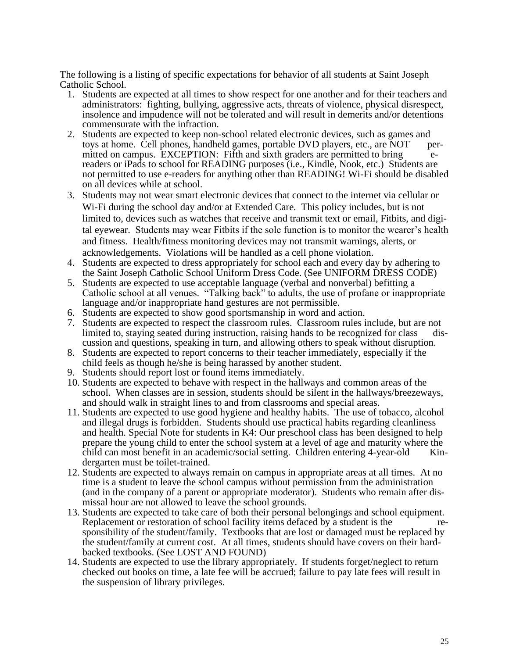The following is a listing of specific expectations for behavior of all students at Saint Joseph Catholic School.

- 1. Students are expected at all times to show respect for one another and for their teachers and administrators: fighting, bullying, aggressive acts, threats of violence, physical disrespect, insolence and impudence will not be tolerated and will result in demerits and/or detentions commensurate with the infraction.
- 2. Students are expected to keep non-school related electronic devices, such as games and toys at home. Cell phones, handheld games, portable DVD players, etc., are NOT permitted on campus. EXCEPTION: Fifth and sixth graders are permitted to bring ereaders or iPads to school for READING purposes (i.e., Kindle, Nook, etc.) Students are not permitted to use e-readers for anything other than READING! Wi-Fi should be disabled on all devices while at school.
- 3. Students may not wear smart electronic devices that connect to the internet via cellular or Wi-Fi during the school day and/or at Extended Care. This policy includes, but is not limited to, devices such as watches that receive and transmit text or email, Fitbits, and digital eyewear. Students may wear Fitbits if the sole function is to monitor the wearer's health and fitness. Health/fitness monitoring devices may not transmit warnings, alerts, or acknowledgements. Violations will be handled as a cell phone violation.
- 4. Students are expected to dress appropriately for school each and every day by adhering to the Saint Joseph Catholic School Uniform Dress Code. (See UNIFORM DRESS CODE)
- 5. Students are expected to use acceptable language (verbal and nonverbal) befitting a Catholic school at all venues. "Talking back" to adults, the use of profane or inappropriate language and/or inappropriate hand gestures are not permissible.
- 6. Students are expected to show good sportsmanship in word and action.
- 7. Students are expected to respect the classroom rules. Classroom rules include, but are not limited to, staying seated during instruction, raising hands to be recognized for class discussion and questions, speaking in turn, and allowing others to speak without disruption.
- 8. Students are expected to report concerns to their teacher immediately, especially if the child feels as though he/she is being harassed by another student.
- 9. Students should report lost or found items immediately.
- 10. Students are expected to behave with respect in the hallways and common areas of the school. When classes are in session, students should be silent in the hallways/breezeways, and should walk in straight lines to and from classrooms and special areas.
- 11. Students are expected to use good hygiene and healthy habits. The use of tobacco, alcohol and illegal drugs is forbidden. Students should use practical habits regarding cleanliness and health. Special Note for students in K4: Our preschool class has been designed to help prepare the young child to enter the school system at a level of age and maturity where the child can most benefit in an academic/social setting. Children entering 4-year-old Kindergarten must be toilet-trained.
- 12. Students are expected to always remain on campus in appropriate areas at all times. At no time is a student to leave the school campus without permission from the administration (and in the company of a parent or appropriate moderator). Students who remain after dismissal hour are not allowed to leave the school grounds.
- 13. Students are expected to take care of both their personal belongings and school equipment. Replacement or restoration of school facility items defaced by a student is the responsibility of the student/family. Textbooks that are lost or damaged must be replaced by the student/family at current cost. At all times, students should have covers on their hardbacked textbooks. (See LOST AND FOUND)
- 14. Students are expected to use the library appropriately. If students forget/neglect to return checked out books on time, a late fee will be accrued; failure to pay late fees will result in the suspension of library privileges.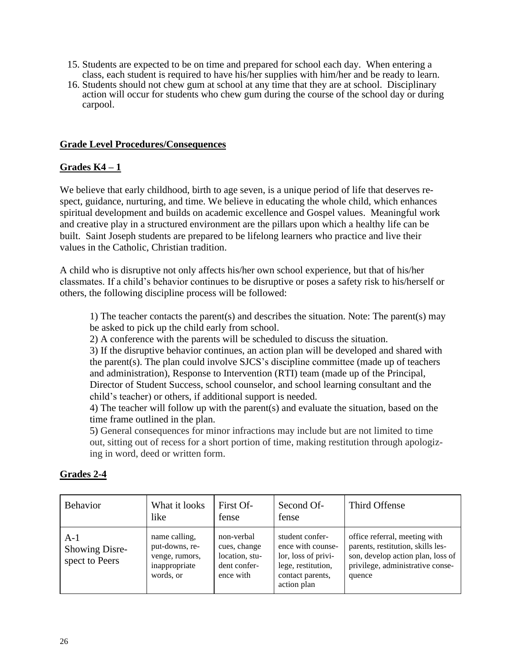- 15. Students are expected to be on time and prepared for school each day. When entering a class, each student is required to have his/her supplies with him/her and be ready to learn.
- 16. Students should not chew gum at school at any time that they are at school. Disciplinary action will occur for students who chew gum during the course of the school day or during carpool.

#### **Grade Level Procedures/Consequences**

#### **Grades K4 – 1**

We believe that early childhood, birth to age seven, is a unique period of life that deserves respect, guidance, nurturing, and time. We believe in educating the whole child, which enhances spiritual development and builds on academic excellence and Gospel values. Meaningful work and creative play in a structured environment are the pillars upon which a healthy life can be built. Saint Joseph students are prepared to be lifelong learners who practice and live their values in the Catholic, Christian tradition.

A child who is disruptive not only affects his/her own school experience, but that of his/her classmates. If a child's behavior continues to be disruptive or poses a safety risk to his/herself or others, the following discipline process will be followed:

1) The teacher contacts the parent(s) and describes the situation. Note: The parent(s) may be asked to pick up the child early from school.

2) A conference with the parents will be scheduled to discuss the situation.

3) If the disruptive behavior continues, an action plan will be developed and shared with the parent(s). The plan could involve SJCS's discipline committee (made up of teachers and administration), Response to Intervention (RTI) team (made up of the Principal, Director of Student Success, school counselor, and school learning consultant and the child's teacher) or others, if additional support is needed.

4) The teacher will follow up with the parent(s) and evaluate the situation, based on the time frame outlined in the plan.

5) General consequences for minor infractions may include but are not limited to time out, sitting out of recess for a short portion of time, making restitution through apologizing in word, deed or written form.

#### **Grades 2-4**

| <b>Behavior</b>                           | What it looks<br>like                                                           | First Of-<br>fense                                                        | Second Of-<br>fense                                                                                                  | Third Offense                                                                                                                                         |
|-------------------------------------------|---------------------------------------------------------------------------------|---------------------------------------------------------------------------|----------------------------------------------------------------------------------------------------------------------|-------------------------------------------------------------------------------------------------------------------------------------------------------|
| $A-1$<br>Showing Disre-<br>spect to Peers | name calling,<br>put-downs, re-<br>venge, rumors,<br>inappropriate<br>words, or | non-verbal<br>cues, change<br>location, stu-<br>dent confer-<br>ence with | student confer-<br>ence with counse-<br>lor, loss of privi-<br>lege, restitution,<br>contact parents,<br>action plan | office referral, meeting with<br>parents, restitution, skills les-<br>son, develop action plan, loss of<br>privilege, administrative conse-<br>quence |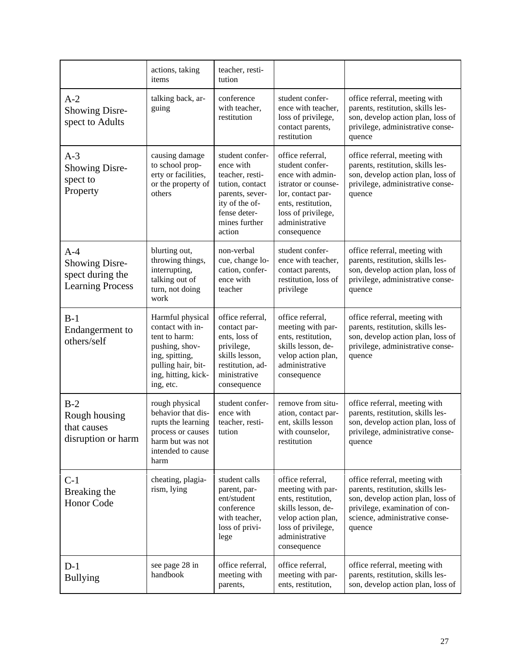|                                                                               | actions, taking<br>items                                                                                                                            | teacher, resti-<br>tution                                                                                                                          |                                                                                                                                                                                  |                                                                                                                                                                                       |
|-------------------------------------------------------------------------------|-----------------------------------------------------------------------------------------------------------------------------------------------------|----------------------------------------------------------------------------------------------------------------------------------------------------|----------------------------------------------------------------------------------------------------------------------------------------------------------------------------------|---------------------------------------------------------------------------------------------------------------------------------------------------------------------------------------|
| $A-2$<br><b>Showing Disre-</b><br>spect to Adults                             | talking back, ar-<br>guing                                                                                                                          | conference<br>with teacher,<br>restitution                                                                                                         | student confer-<br>ence with teacher,<br>loss of privilege,<br>contact parents,<br>restitution                                                                                   | office referral, meeting with<br>parents, restitution, skills les-<br>son, develop action plan, loss of<br>privilege, administrative conse-<br>quence                                 |
| $A-3$<br><b>Showing Disre-</b><br>spect to<br>Property                        | causing damage<br>to school prop-<br>erty or facilities,<br>or the property of<br>others                                                            | student confer-<br>ence with<br>teacher, resti-<br>tution, contact<br>parents, sever-<br>ity of the of-<br>fense deter-<br>mines further<br>action | office referral,<br>student confer-<br>ence with admin-<br>istrator or counse-<br>lor, contact par-<br>ents, restitution,<br>loss of privilege,<br>administrative<br>consequence | office referral, meeting with<br>parents, restitution, skills les-<br>son, develop action plan, loss of<br>privilege, administrative conse-<br>quence                                 |
| $A-4$<br><b>Showing Disre-</b><br>spect during the<br><b>Learning Process</b> | blurting out,<br>throwing things,<br>interrupting,<br>talking out of<br>turn, not doing<br>work                                                     | non-verbal<br>cue, change lo-<br>cation, confer-<br>ence with<br>teacher                                                                           | student confer-<br>ence with teacher,<br>contact parents,<br>restitution, loss of<br>privilege                                                                                   | office referral, meeting with<br>parents, restitution, skills les-<br>son, develop action plan, loss of<br>privilege, administrative conse-<br>quence                                 |
| $B-1$<br>Endangerment to<br>others/self                                       | Harmful physical<br>contact with in-<br>tent to harm:<br>pushing, shov-<br>ing, spitting,<br>pulling hair, bit-<br>ing, hitting, kick-<br>ing, etc. | office referral,<br>contact par-<br>ents, loss of<br>privilege,<br>skills lesson,<br>restitution, ad-<br>ministrative<br>consequence               | office referral,<br>meeting with par-<br>ents, restitution,<br>skills lesson, de-<br>velop action plan,<br>administrative<br>consequence                                         | office referral, meeting with<br>parents, restitution, skills les-<br>son, develop action plan, loss of<br>privilege, administrative conse-<br>quence                                 |
| $B-2$<br>Rough housing<br>that causes<br>disruption or harm                   | rough physical<br>behavior that dis-<br>rupts the learning<br>process or causes<br>harm but was not<br>intended to cause<br>harm                    | student confer-<br>ence with<br>teacher, resti-<br>tution                                                                                          | remove from situ-<br>ation, contact par-<br>ent, skills lesson<br>with counselor,<br>restitution                                                                                 | office referral, meeting with<br>parents, restitution, skills les-<br>son, develop action plan, loss of<br>privilege, administrative conse-<br>quence                                 |
| $C-1$<br>Breaking the<br><b>Honor Code</b>                                    | cheating, plagia-<br>rism, lying                                                                                                                    | student calls<br>parent, par-<br>ent/student<br>conference<br>with teacher,<br>loss of privi-<br>lege                                              | office referral,<br>meeting with par-<br>ents, restitution,<br>skills lesson, de-<br>velop action plan,<br>loss of privilege,<br>administrative<br>consequence                   | office referral, meeting with<br>parents, restitution, skills les-<br>son, develop action plan, loss of<br>privilege, examination of con-<br>science, administrative conse-<br>quence |
| $D-1$<br><b>Bullying</b>                                                      | see page 28 in<br>handbook                                                                                                                          | office referral,<br>meeting with<br>parents,                                                                                                       | office referral,<br>meeting with par-<br>ents, restitution,                                                                                                                      | office referral, meeting with<br>parents, restitution, skills les-<br>son, develop action plan, loss of                                                                               |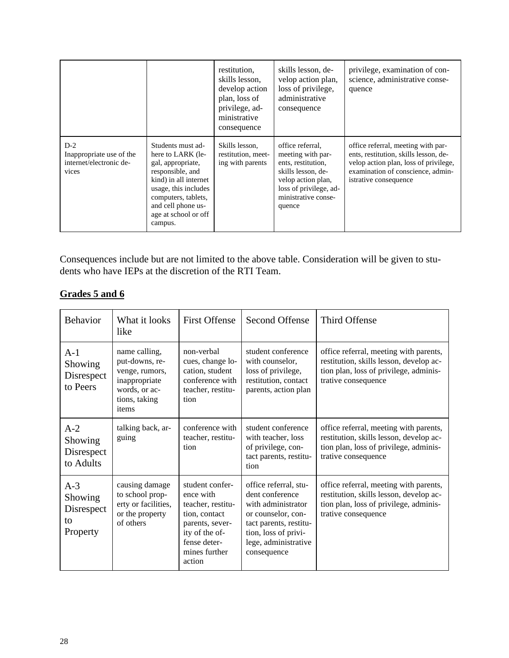|                                                                       |                                                                                                                                                                                                                  | restitution,<br>skills lesson.<br>develop action<br>plan, loss of<br>privilege, ad-<br>ministrative<br>consequence | skills lesson, de-<br>velop action plan,<br>loss of privilege,<br>administrative<br>consequence                                                                    | privilege, examination of con-<br>science, administrative conse-<br>quence                                                                                                         |
|-----------------------------------------------------------------------|------------------------------------------------------------------------------------------------------------------------------------------------------------------------------------------------------------------|--------------------------------------------------------------------------------------------------------------------|--------------------------------------------------------------------------------------------------------------------------------------------------------------------|------------------------------------------------------------------------------------------------------------------------------------------------------------------------------------|
| $D-2$<br>Inappropriate use of the<br>internet/electronic de-<br>vices | Students must ad-<br>here to LARK (le-<br>gal, appropriate,<br>responsible, and<br>kind) in all internet<br>usage, this includes<br>computers, tablets,<br>and cell phone us-<br>age at school or off<br>campus. | Skills lesson,<br>restitution, meet-<br>ing with parents                                                           | office referral.<br>meeting with par-<br>ents, restitution,<br>skills lesson, de-<br>velop action plan,<br>loss of privilege, ad-<br>ministrative conse-<br>quence | office referral, meeting with par-<br>ents, restitution, skills lesson, de-<br>velop action plan, loss of privilege,<br>examination of conscience, admin-<br>istrative consequence |

Consequences include but are not limited to the above table. Consideration will be given to students who have IEPs at the discretion of the RTI Team.

| Grades 5 and 6 |  |  |
|----------------|--|--|
|                |  |  |

| <b>Behavior</b>                                  | What it looks<br>like                                                                                         | <b>First Offense</b>                                                                                                                               | Second Offense                                                                                                                                                                | Third Offense                                                                                                                                      |
|--------------------------------------------------|---------------------------------------------------------------------------------------------------------------|----------------------------------------------------------------------------------------------------------------------------------------------------|-------------------------------------------------------------------------------------------------------------------------------------------------------------------------------|----------------------------------------------------------------------------------------------------------------------------------------------------|
| $A-1$<br>Showing<br>Disrespect<br>to Peers       | name calling,<br>put-downs, re-<br>venge, rumors,<br>inappropriate<br>words, or ac-<br>tions, taking<br>items | non-verbal<br>cues, change lo-<br>cation, student<br>conference with<br>teacher, restitu-<br>tion                                                  | student conference<br>with counselor,<br>loss of privilege,<br>restitution, contact<br>parents, action plan                                                                   | office referral, meeting with parents,<br>restitution, skills lesson, develop ac-<br>tion plan, loss of privilege, adminis-<br>trative consequence |
| $A-2$<br>Showing<br>Disrespect<br>to Adults      | talking back, ar-<br>guing                                                                                    | conference with<br>teacher, restitu-<br>tion                                                                                                       | student conference<br>with teacher, loss<br>of privilege, con-<br>tact parents, restitu-<br>tion                                                                              | office referral, meeting with parents,<br>restitution, skills lesson, develop ac-<br>tion plan, loss of privilege, adminis-<br>trative consequence |
| $A-3$<br>Showing<br>Disrespect<br>to<br>Property | causing damage<br>to school prop-<br>erty or facilities,<br>or the property<br>of others                      | student confer-<br>ence with<br>teacher, restitu-<br>tion, contact<br>parents, sever-<br>ity of the of-<br>fense deter-<br>mines further<br>action | office referral, stu-<br>dent conference<br>with administrator<br>or counselor, con-<br>tact parents, restitu-<br>tion, loss of privi-<br>lege, administrative<br>consequence | office referral, meeting with parents,<br>restitution, skills lesson, develop ac-<br>tion plan, loss of privilege, adminis-<br>trative consequence |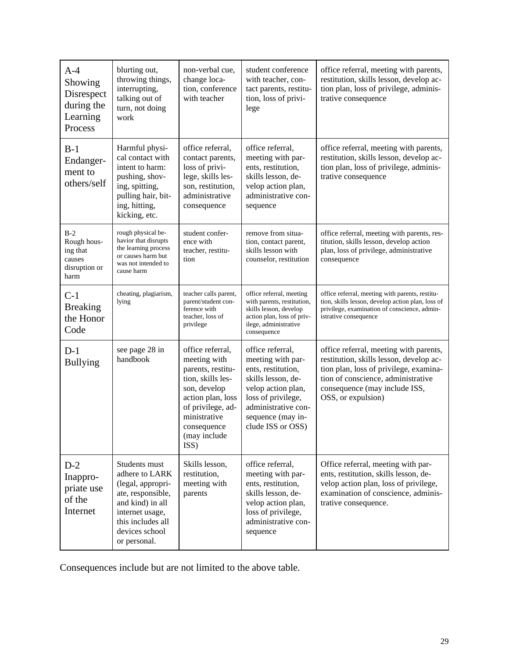| $A-4$<br>Showing<br>Disrespect<br>during the<br>Learning<br>Process | blurting out,<br>throwing things,<br>interrupting,<br>talking out of<br>turn, not doing<br>work                                                                         | non-verbal cue,<br>change loca-<br>tion, conference<br>with teacher                                                                                                                         | student conference<br>with teacher, con-<br>tact parents, restitu-<br>tion, loss of privi-<br>lege                                                                                             | office referral, meeting with parents,<br>restitution, skills lesson, develop ac-<br>tion plan, loss of privilege, adminis-<br>trative consequence                                                                       |
|---------------------------------------------------------------------|-------------------------------------------------------------------------------------------------------------------------------------------------------------------------|---------------------------------------------------------------------------------------------------------------------------------------------------------------------------------------------|------------------------------------------------------------------------------------------------------------------------------------------------------------------------------------------------|--------------------------------------------------------------------------------------------------------------------------------------------------------------------------------------------------------------------------|
| $B-1$<br>Endanger-<br>ment to<br>others/self                        | Harmful physi-<br>cal contact with<br>intent to harm:<br>pushing, shov-<br>ing, spitting,<br>pulling hair, bit-<br>ing, hitting,<br>kicking, etc.                       | office referral,<br>contact parents,<br>loss of privi-<br>lege, skills les-<br>son, restitution,<br>administrative<br>consequence                                                           | office referral,<br>meeting with par-<br>ents, restitution,<br>skills lesson, de-<br>velop action plan,<br>administrative con-<br>sequence                                                     | office referral, meeting with parents,<br>restitution, skills lesson, develop ac-<br>tion plan, loss of privilege, adminis-<br>trative consequence                                                                       |
| $B-2$<br>Rough hous-<br>ing that<br>causes<br>disruption or<br>harm | rough physical be-<br>havior that disrupts<br>the learning process<br>or causes harm but<br>was not intended to<br>cause harm                                           | student confer-<br>ence with<br>teacher, restitu-<br>tion                                                                                                                                   | remove from situa-<br>tion, contact parent,<br>skills lesson with<br>counselor, restitution                                                                                                    | office referral, meeting with parents, res-<br>titution, skills lesson, develop action<br>plan, loss of privilege, administrative<br>consequence                                                                         |
| $C-1$<br><b>Breaking</b><br>the Honor<br>Code                       | cheating, plagiarism,<br>lying                                                                                                                                          | teacher calls parent,<br>parent/student con-<br>ference with<br>teacher, loss of<br>privilege                                                                                               | office referral, meeting<br>with parents, restitution,<br>skills lesson, develop<br>action plan, loss of priv-<br>ilege, administrative<br>consequence                                         | office referral, meeting with parents, restitu-<br>tion, skills lesson, develop action plan, loss of<br>privilege, examination of conscience, admin-<br>istrative consequence                                            |
| $D-1$<br><b>Bullying</b>                                            | see page 28 in<br>handbook                                                                                                                                              | office referral,<br>meeting with<br>parents, restitu-<br>tion, skills les-<br>son, develop<br>action plan, loss<br>of privilege, ad-<br>ministrative<br>consequence<br>(may include<br>ISS) | office referral,<br>meeting with par-<br>ents, restitution,<br>skills lesson, de-<br>velop action plan,<br>loss of privilege,<br>administrative con-<br>sequence (may in-<br>clude ISS or OSS) | office referral, meeting with parents,<br>restitution, skills lesson, develop ac-<br>tion plan, loss of privilege, examina-<br>tion of conscience, administrative<br>consequence (may include ISS,<br>OSS, or expulsion) |
| $D-2$<br>Inappro-<br>priate use<br>of the<br>Internet               | Students must<br>adhere to LARK<br>(legal, appropri-<br>ate, responsible,<br>and kind) in all<br>internet usage,<br>this includes all<br>devices school<br>or personal. | Skills lesson,<br>restitution,<br>meeting with<br>parents                                                                                                                                   | office referral,<br>meeting with par-<br>ents, restitution,<br>skills lesson, de-<br>velop action plan,<br>loss of privilege,<br>administrative con-<br>sequence                               | Office referral, meeting with par-<br>ents, restitution, skills lesson, de-<br>velop action plan, loss of privilege,<br>examination of conscience, adminis-<br>trative consequence.                                      |

Consequences include but are not limited to the above table.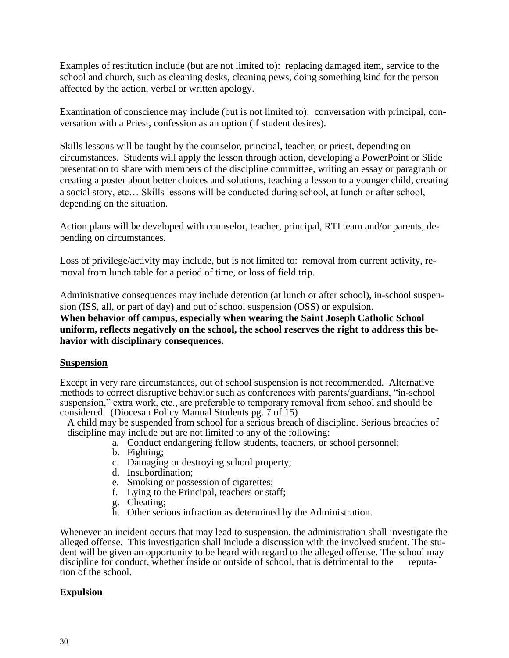Examples of restitution include (but are not limited to): replacing damaged item, service to the school and church, such as cleaning desks, cleaning pews, doing something kind for the person affected by the action, verbal or written apology.

Examination of conscience may include (but is not limited to): conversation with principal, conversation with a Priest, confession as an option (if student desires).

Skills lessons will be taught by the counselor, principal, teacher, or priest, depending on circumstances. Students will apply the lesson through action, developing a PowerPoint or Slide presentation to share with members of the discipline committee, writing an essay or paragraph or creating a poster about better choices and solutions, teaching a lesson to a younger child, creating a social story, etc… Skills lessons will be conducted during school, at lunch or after school, depending on the situation.

Action plans will be developed with counselor, teacher, principal, RTI team and/or parents, depending on circumstances.

Loss of privilege/activity may include, but is not limited to: removal from current activity, removal from lunch table for a period of time, or loss of field trip.

Administrative consequences may include detention (at lunch or after school), in-school suspension (ISS, all, or part of day) and out of school suspension (OSS) or expulsion.

**When behavior off campus, especially when wearing the Saint Joseph Catholic School uniform, reflects negatively on the school, the school reserves the right to address this behavior with disciplinary consequences.**

#### **Suspension**

Except in very rare circumstances, out of school suspension is not recommended. Alternative methods to correct disruptive behavior such as conferences with parents/guardians, "in-school suspension," extra work, etc., are preferable to temporary removal from school and should be considered. (Diocesan Policy Manual Students pg. 7 of 15)

A child may be suspended from school for a serious breach of discipline. Serious breaches of discipline may include but are not limited to any of the following:

- a. Conduct endangering fellow students, teachers, or school personnel;
- b. Fighting;
- c. Damaging or destroying school property;
- d. Insubordination;
- e. Smoking or possession of cigarettes;
- f. Lying to the Principal, teachers or staff;
- g. Cheating;
- h. Other serious infraction as determined by the Administration.

Whenever an incident occurs that may lead to suspension, the administration shall investigate the alleged offense. This investigation shall include a discussion with the involved student. The student will be given an opportunity to be heard with regard to the alleged offense. The school may discipline for conduct, whether inside or outside of school, that is detrimental to the reputation of the school.

#### **Expulsion**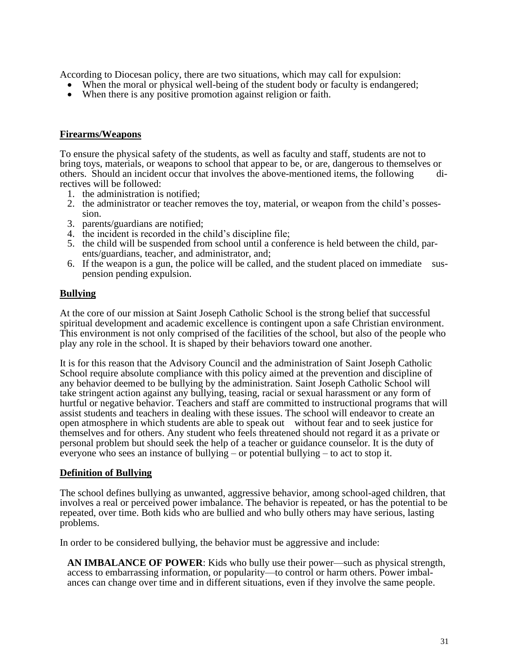According to Diocesan policy, there are two situations, which may call for expulsion:

- When the moral or physical well-being of the student body or faculty is endangered;
- When there is any positive promotion against religion or faith.

#### **Firearms/Weapons**

To ensure the physical safety of the students, as well as faculty and staff, students are not to bring toys, materials, or weapons to school that appear to be, or are, dangerous to themselves or others. Should an incident occur that involves the above-mentioned items, the following directives will be followed:

- 1. the administration is notified;
- 2. the administrator or teacher removes the toy, material, or weapon from the child's possession.
- 3. parents/guardians are notified;
- 4. the incident is recorded in the child's discipline file;
- 5. the child will be suspended from school until a conference is held between the child, parents/guardians, teacher, and administrator, and;
- 6. If the weapon is a gun, the police will be called, and the student placed on immediate suspension pending expulsion.

#### **Bullying**

At the core of our mission at Saint Joseph Catholic School is the strong belief that successful spiritual development and academic excellence is contingent upon a safe Christian environment. This environment is not only comprised of the facilities of the school, but also of the people who play any role in the school. It is shaped by their behaviors toward one another.

It is for this reason that the Advisory Council and the administration of Saint Joseph Catholic School require absolute compliance with this policy aimed at the prevention and discipline of any behavior deemed to be bullying by the administration. Saint Joseph Catholic School will take stringent action against any bullying, teasing, racial or sexual harassment or any form of hurtful or negative behavior. Teachers and staff are committed to instructional programs that will assist students and teachers in dealing with these issues. The school will endeavor to create an open atmosphere in which students are able to speak out without fear and to seek justice for themselves and for others. Any student who feels threatened should not regard it as a private or personal problem but should seek the help of a teacher or guidance counselor. It is the duty of everyone who sees an instance of bullying – or potential bullying – to act to stop it.

#### **Definition of Bullying**

The school defines bullying as unwanted, aggressive behavior, among school-aged children, that involves a real or perceived power imbalance. The behavior is repeated, or has the potential to be repeated, over time. Both kids who are bullied and who bully others may have serious, lasting problems.

In order to be considered bullying, the behavior must be aggressive and include:

**AN IMBALANCE OF POWER**: Kids who bully use their power—such as physical strength, access to embarrassing information, or popularity—to control or harm others. Power imbalances can change over time and in different situations, even if they involve the same people.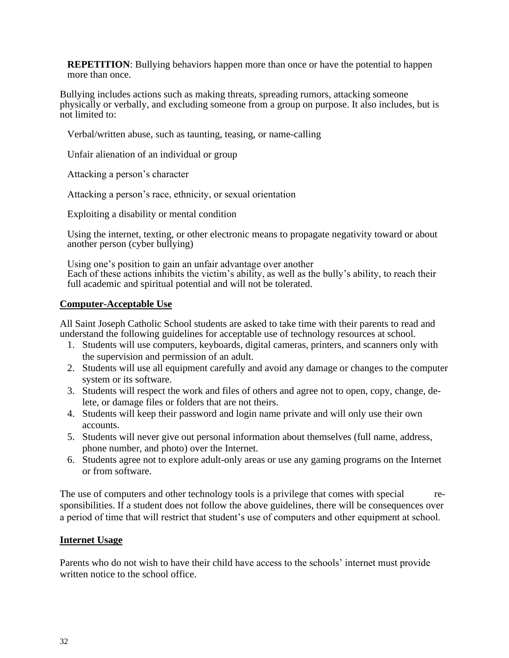**REPETITION**: Bullying behaviors happen more than once or have the potential to happen more than once.

Bullying includes actions such as making threats, spreading rumors, attacking someone physically or verbally, and excluding someone from a group on purpose. It also includes, but is not limited to:

Verbal/written abuse, such as taunting, teasing, or name-calling

Unfair alienation of an individual or group

Attacking a person's character

Attacking a person's race, ethnicity, or sexual orientation

Exploiting a disability or mental condition

Using the internet, texting, or other electronic means to propagate negativity toward or about another person (cyber bullying)

Using one's position to gain an unfair advantage over another Each of these actions inhibits the victim's ability, as well as the bully's ability, to reach their full academic and spiritual potential and will not be tolerated.

#### **Computer-Acceptable Use**

All Saint Joseph Catholic School students are asked to take time with their parents to read and understand the following guidelines for acceptable use of technology resources at school.

- 1. Students will use computers, keyboards, digital cameras, printers, and scanners only with the supervision and permission of an adult.
- 2. Students will use all equipment carefully and avoid any damage or changes to the computer system or its software.
- 3. Students will respect the work and files of others and agree not to open, copy, change, delete, or damage files or folders that are not theirs.
- 4. Students will keep their password and login name private and will only use their own accounts.
- 5. Students will never give out personal information about themselves (full name, address, phone number, and photo) over the Internet.
- 6. Students agree not to explore adult-only areas or use any gaming programs on the Internet or from software.

The use of computers and other technology tools is a privilege that comes with special responsibilities. If a student does not follow the above guidelines, there will be consequences over a period of time that will restrict that student's use of computers and other equipment at school.

#### **Internet Usage**

Parents who do not wish to have their child have access to the schools' internet must provide written notice to the school office.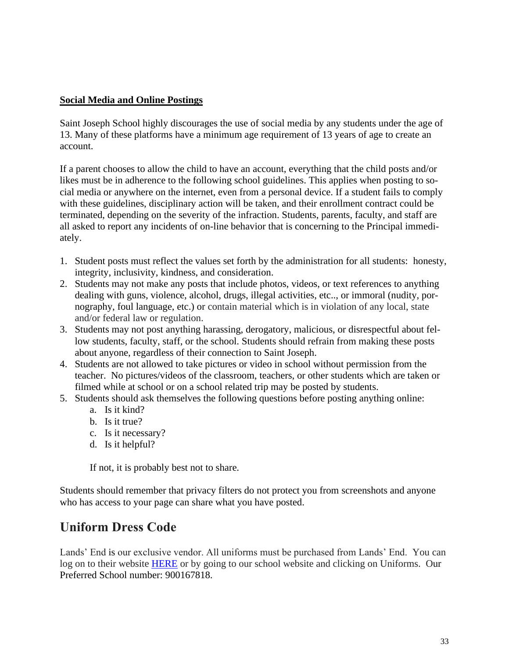#### **Social Media and Online Postings**

Saint Joseph School highly discourages the use of social media by any students under the age of 13. Many of these platforms have a minimum age requirement of 13 years of age to create an account.

If a parent chooses to allow the child to have an account, everything that the child posts and/or likes must be in adherence to the following school guidelines. This applies when posting to social media or anywhere on the internet, even from a personal device. If a student fails to comply with these guidelines, disciplinary action will be taken, and their enrollment contract could be terminated, depending on the severity of the infraction. Students, parents, faculty, and staff are all asked to report any incidents of on-line behavior that is concerning to the Principal immediately.

- 1. Student posts must reflect the values set forth by the administration for all students: honesty, integrity, inclusivity, kindness, and consideration.
- 2. Students may not make any posts that include photos, videos, or text references to anything dealing with guns, violence, alcohol, drugs, illegal activities, etc.., or immoral (nudity, pornography, foul language, etc.) or contain material which is in violation of any local, state and/or federal law or regulation.
- 3. Students may not post anything harassing, derogatory, malicious, or disrespectful about fellow students, faculty, staff, or the school. Students should refrain from making these posts about anyone, regardless of their connection to Saint Joseph.
- 4. Students are not allowed to take pictures or video in school without permission from the teacher. No pictures/videos of the classroom, teachers, or other students which are taken or filmed while at school or on a school related trip may be posted by students.
- 5. Students should ask themselves the following questions before posting anything online:
	- a. Is it kind?
	- b. Is it true?
	- c. Is it necessary?
	- d. Is it helpful?

If not, it is probably best not to share.

Students should remember that privacy filters do not protect you from screenshots and anyone who has access to your page can share what you have posted.

## **Uniform Dress Code**

Lands' End is our exclusive vendor. All uniforms must be purchased from Lands' End. You can log on to their website [HERE](http://www.landsend.com/pp/SchoolSearch.html?selectedSchoolNum=900167818&action=landing) or by going to our school website and clicking on Uniforms. Our Preferred School number: 900167818.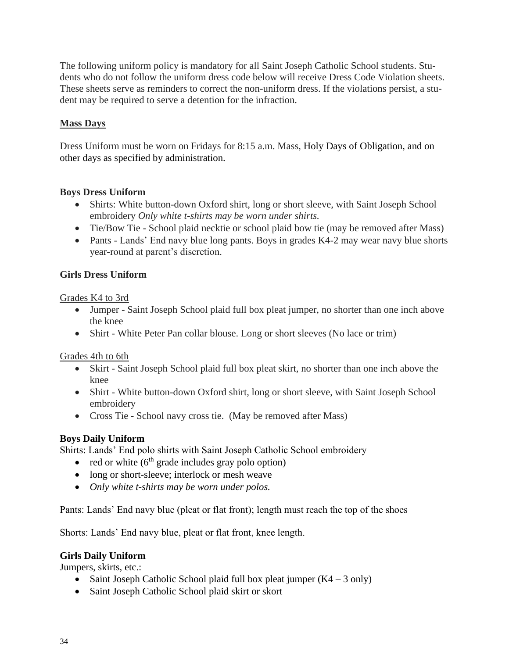The following uniform policy is mandatory for all Saint Joseph Catholic School students. Students who do not follow the uniform dress code below will receive Dress Code Violation sheets. These sheets serve as reminders to correct the non-uniform dress. If the violations persist, a student may be required to serve a detention for the infraction.

#### **Mass Days**

Dress Uniform must be worn on Fridays for 8:15 a.m. Mass, Holy Days of Obligation, and on other days as specified by administration.

#### **Boys Dress Uniform**

- Shirts: White button-down Oxford shirt, long or short sleeve, with Saint Joseph School embroidery *Only white t-shirts may be worn under shirts.*
- Tie/Bow Tie School plaid necktie or school plaid bow tie (may be removed after Mass)
- Pants Lands' End navy blue long pants. Boys in grades K4-2 may wear navy blue shorts year-round at parent's discretion.

#### **Girls Dress Uniform**

Grades K4 to 3rd

- Jumper Saint Joseph School plaid full box pleat jumper, no shorter than one inch above the knee
- Shirt White Peter Pan collar blouse. Long or short sleeves (No lace or trim)

Grades 4th to 6th

- Skirt Saint Joseph School plaid full box pleat skirt, no shorter than one inch above the knee
- Shirt White button-down Oxford shirt, long or short sleeve, with Saint Joseph School embroidery
- Cross Tie School navy cross tie. (May be removed after Mass)

#### **Boys Daily Uniform**

Shirts: Lands' End polo shirts with Saint Joseph Catholic School embroidery

- red or white  $(6<sup>th</sup>$  grade includes gray polo option)
- long or short-sleeve; interlock or mesh weave
- *Only white t-shirts may be worn under polos.*

Pants: Lands' End navy blue (pleat or flat front); length must reach the top of the shoes

Shorts: Lands' End navy blue, pleat or flat front, knee length.

#### **Girls Daily Uniform**

Jumpers, skirts, etc.:

- Saint Joseph Catholic School plaid full box pleat jumper  $(K4 3 \text{ only})$
- Saint Joseph Catholic School plaid skirt or skort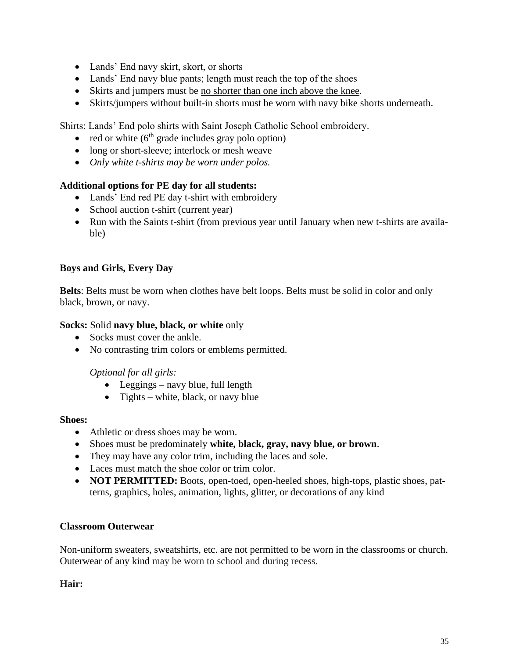- Lands' End navy skirt, skort, or shorts
- Lands' End navy blue pants; length must reach the top of the shoes
- Skirts and jumpers must be <u>no shorter than one inch above the knee</u>.
- Skirts/jumpers without built-in shorts must be worn with navy bike shorts underneath.

Shirts: Lands' End polo shirts with Saint Joseph Catholic School embroidery.

- red or white  $(6<sup>th</sup> \text{ grade includes } \text{gray polo option})$
- long or short-sleeve; interlock or mesh weave
- *Only white t-shirts may be worn under polos.*

#### **Additional options for PE day for all students:**

- Lands' End red PE day t-shirt with embroidery
- School auction t-shirt (current year)
- Run with the Saints t-shirt (from previous year until January when new t-shirts are available)

#### **Boys and Girls, Every Day**

**Belts**: Belts must be worn when clothes have belt loops. Belts must be solid in color and only black, brown, or navy.

#### **Socks:** Solid **navy blue, black, or white** only

- Socks must cover the ankle.
- No contrasting trim colors or emblems permitted.

#### *Optional for all girls:*

- Leggings navy blue, full length
- Tights white, black, or navy blue

#### **Shoes:**

- Athletic or dress shoes may be worn.
- Shoes must be predominately **white, black, gray, navy blue, or brown**.
- They may have any color trim, including the laces and sole.
- Laces must match the shoe color or trim color.
- **NOT PERMITTED:** Boots, open-toed, open-heeled shoes, high-tops, plastic shoes, patterns, graphics, holes, animation, lights, glitter, or decorations of any kind

#### **Classroom Outerwear**

Non-uniform sweaters, sweatshirts, etc. are not permitted to be worn in the classrooms or church. Outerwear of any kind may be worn to school and during recess.

**Hair:**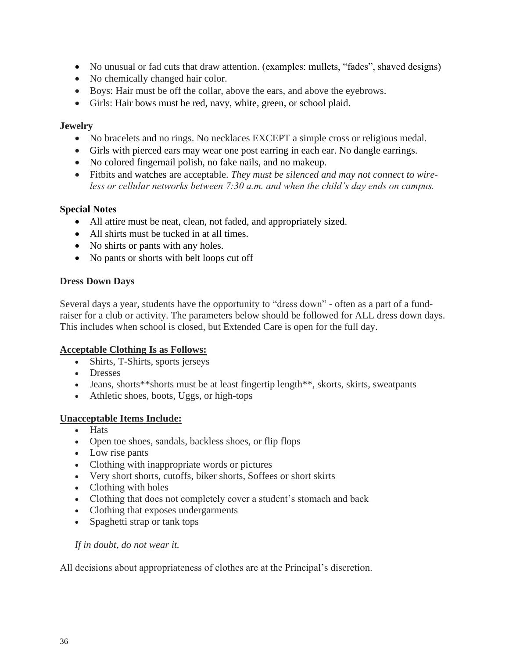- No unusual or fad cuts that draw attention. (examples: mullets, "fades", shaved designs)
- No chemically changed hair color.
- Boys: Hair must be off the collar, above the ears, and above the eyebrows.
- Girls: Hair bows must be red, navy, white, green, or school plaid.

#### **Jewelry**

- No bracelets and no rings. No necklaces EXCEPT a simple cross or religious medal.
- Girls with pierced ears may wear one post earring in each ear. No dangle earrings.
- No colored fingernail polish, no fake nails, and no makeup.
- Fitbits and watches are acceptable. *They must be silenced and may not connect to wireless or cellular networks between 7:30 a.m. and when the child's day ends on campus.*

#### **Special Notes**

- All attire must be neat, clean, not faded, and appropriately sized.
- All shirts must be tucked in at all times.
- No shirts or pants with any holes.
- No pants or shorts with belt loops cut off

#### **Dress Down Days**

Several days a year, students have the opportunity to "dress down" - often as a part of a fundraiser for a club or activity. The parameters below should be followed for ALL dress down days. This includes when school is closed, but Extended Care is open for the full day.

#### **Acceptable Clothing Is as Follows:**

- Shirts, T-Shirts, sports jerseys
- Dresses
- Jeans, shorts\*\*shorts must be at least fingertip length\*\*, skorts, skirts, sweatpants
- Athletic shoes, boots, Uggs, or high-tops

#### **Unacceptable Items Include:**

- Hats
- Open toe shoes, sandals, backless shoes, or flip flops
- Low rise pants
- Clothing with inappropriate words or pictures
- Very short shorts, cutoffs, biker shorts, Soffees or short skirts
- Clothing with holes
- Clothing that does not completely cover a student's stomach and back
- Clothing that exposes undergarments
- Spaghetti strap or tank tops

#### *If in doubt, do not wear it.*

All decisions about appropriateness of clothes are at the Principal's discretion.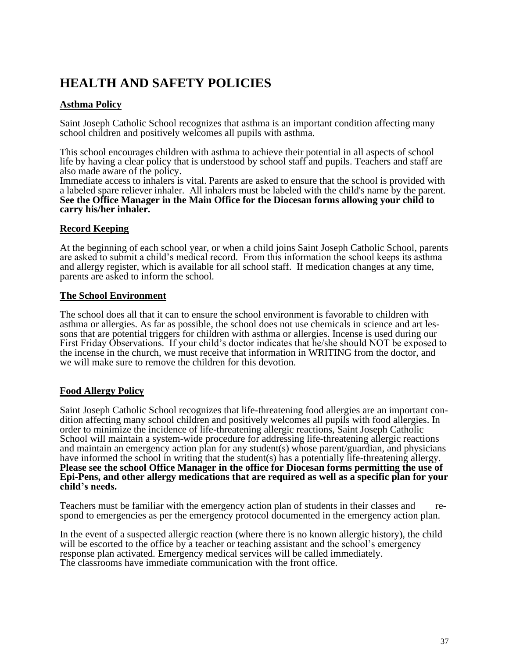## **HEALTH AND SAFETY POLICIES**

#### **Asthma Policy**

Saint Joseph Catholic School recognizes that asthma is an important condition affecting many school children and positively welcomes all pupils with asthma.

This school encourages children with asthma to achieve their potential in all aspects of school life by having a clear policy that is understood by school staff and pupils. Teachers and staff are also made aware of the policy.

Immediate access to inhalers is vital. Parents are asked to ensure that the school is provided with a labeled spare reliever inhaler. All inhalers must be labeled with the child's name by the parent. **See the Office Manager in the Main Office for the Diocesan forms allowing your child to carry his/her inhaler.**

#### **Record Keeping**

At the beginning of each school year, or when a child joins Saint Joseph Catholic School, parents are asked to submit a child's medical record. From this information the school keeps its asthma and allergy register, which is available for all school staff. If medication changes at any time, parents are asked to inform the school.

#### **The School Environment**

The school does all that it can to ensure the school environment is favorable to children with asthma or allergies. As far as possible, the school does not use chemicals in science and art lessons that are potential triggers for children with asthma or allergies. Incense is used during our First Friday Observations. If your child's doctor indicates that he/she should NOT be exposed to the incense in the church, we must receive that information in WRITING from the doctor, and we will make sure to remove the children for this devotion.

#### **Food Allergy Policy**

Saint Joseph Catholic School recognizes that life-threatening food allergies are an important condition affecting many school children and positively welcomes all pupils with food allergies. In order to minimize the incidence of life-threatening allergic reactions, Saint Joseph Catholic School will maintain a system-wide procedure for addressing life-threatening allergic reactions and maintain an emergency action plan for any student(s) whose parent/guardian, and physicians have informed the school in writing that the student(s) has a potentially life-threatening allergy. **Please see the school Office Manager in the office for Diocesan forms permitting the use of Epi-Pens, and other allergy medications that are required as well as a specific plan for your child's needs.**

Teachers must be familiar with the emergency action plan of students in their classes and respond to emergencies as per the emergency protocol documented in the emergency action plan.

In the event of a suspected allergic reaction (where there is no known allergic history), the child will be escorted to the office by a teacher or teaching assistant and the school's emergency response plan activated. Emergency medical services will be called immediately. The classrooms have immediate communication with the front office.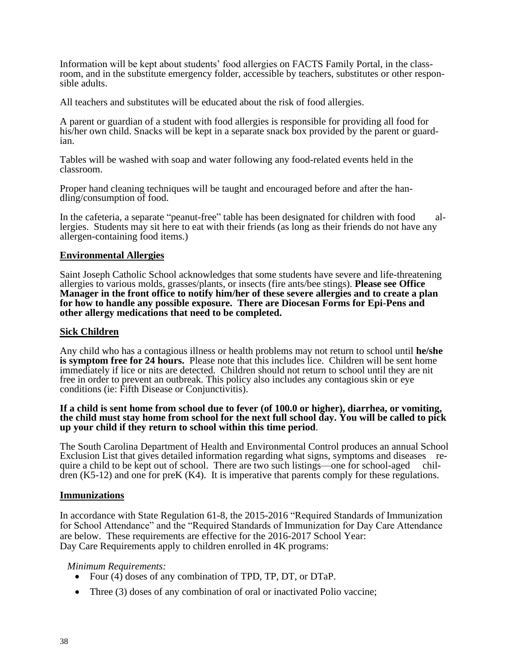Information will be kept about students' food allergies on FACTS Family Portal, in the classroom, and in the substitute emergency folder, accessible by teachers, substitutes or other responsible adults.

All teachers and substitutes will be educated about the risk of food allergies.

A parent or guardian of a student with food allergies is responsible for providing all food for his/her own child. Snacks will be kept in a separate snack box provided by the parent or guardian.

Tables will be washed with soap and water following any food-related events held in the classroom.

Proper hand cleaning techniques will be taught and encouraged before and after the handling/consumption of food.

In the cafeteria, a separate "peanut-free" table has been designated for children with food allergies. Students may sit here to eat with their friends (as long as their friends do not have any allergen-containing food items.)

#### **Environmental Allergies**

Saint Joseph Catholic School acknowledges that some students have severe and life-threatening allergies to various molds, grasses/plants, or insects (fire ants/bee stings). **Please see Office Manager in the front office to notify him/her of these severe allergies and to create a plan for how to handle any possible exposure. There are Diocesan Forms for Epi-Pens and other allergy medications that need to be completed.**

#### **Sick Children**

Any child who has a contagious illness or health problems may not return to school until **he/she is symptom free for 24 hours.** Please note that this includes lice. Children will be sent home immediately if lice or nits are detected. Children should not return to school until they are nit free in order to prevent an outbreak. This policy also includes any contagious skin or eye conditions (ie: Fifth Disease or Conjunctivitis).

#### **If a child is sent home from school due to fever (of 100.0 or higher), diarrhea, or vomiting, the child must stay home from school for the next full school day. You will be called to pick up your child if they return to school within this time period**.

The South Carolina Department of Health and Environmental Control produces an annual School Exclusion List that gives detailed information regarding what signs, symptoms and diseases require a child to be kept out of school. There are two such listings—one for school-aged chil- $\text{d}$ ren (K5-12) and one for preK (K4). It is imperative that parents comply for these regulations.

#### **Immunizations**

In accordance with State Regulation 61-8, the 2015-2016 "Required Standards of Immunization for School Attendance" and the "Required Standards of Immunization for Day Care Attendance are below. These requirements are effective for the 2016-2017 School Year: Day Care Requirements apply to children enrolled in 4K programs:

#### *Minimum Requirements:*

- Four (4) doses of any combination of TPD, TP, DT, or DTaP.
- Three (3) doses of any combination of oral or inactivated Polio vaccine;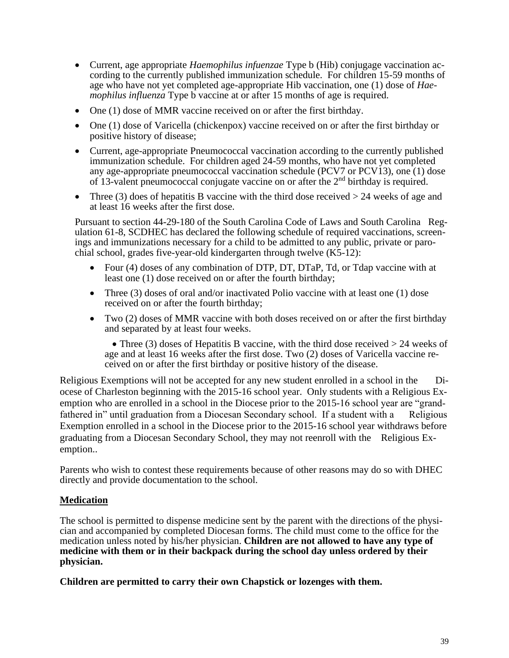- Current, age appropriate *Haemophilus infuenzae* Type b (Hib) conjugage vaccination according to the currently published immunization schedule. For children 15-59 months of age who have not yet completed age-appropriate Hib vaccination, one (1) dose of *Haemophilus influenza* Type b vaccine at or after 15 months of age is required.
- One (1) dose of MMR vaccine received on or after the first birthday.
- One (1) dose of Varicella (chickenpox) vaccine received on or after the first birthday or positive history of disease;
- Current, age-appropriate Pneumococcal vaccination according to the currently published immunization schedule. For children aged 24-59 months, who have not yet completed any age-appropriate pneumococcal vaccination schedule (PCV7 or PCV13), one (1) dose of 13-valent pneumococcal conjugate vaccine on or after the 2<sup>nd</sup> birthday is required.
- Three (3) does of hepatitis B vaccine with the third dose received  $> 24$  weeks of age and at least 16 weeks after the first dose.

Pursuant to section 44-29-180 of the South Carolina Code of Laws and South Carolina Regulation 61-8, SCDHEC has declared the following schedule of required vaccinations, screenings and immunizations necessary for a child to be admitted to any public, private or parochial school, grades five-year-old kindergarten through twelve  $(K5-12)$ :

- Four (4) doses of any combination of DTP, DT, DTaP, Td, or Tdap vaccine with at least one (1) dose received on or after the fourth birthday;
- Three (3) doses of oral and/or inactivated Polio vaccine with at least one (1) dose received on or after the fourth birthday;
- Two (2) doses of MMR vaccine with both doses received on or after the first birthday and separated by at least four weeks.

• Three (3) doses of Hepatitis B vaccine, with the third dose received  $> 24$  weeks of age and at least 16 weeks after the first dose. Two (2) doses of Varicella vaccine received on or after the first birthday or positive history of the disease.

Religious Exemptions will not be accepted for any new student enrolled in a school in the Diocese of Charleston beginning with the 2015-16 school year. Only students with a Religious Exemption who are enrolled in a school in the Diocese prior to the 2015-16 school year are "grandfathered in" until graduation from a Diocesan Secondary school. If a student with a Religious Exemption enrolled in a school in the Diocese prior to the 2015-16 school year withdraws before graduating from a Diocesan Secondary School, they may not reenroll with the Religious Exemption..

Parents who wish to contest these requirements because of other reasons may do so with DHEC directly and provide documentation to the school.

#### **Medication**

The school is permitted to dispense medicine sent by the parent with the directions of the physician and accompanied by completed Diocesan forms. The child must come to the office for the medication unless noted by his/her physician. **Children are not allowed to have any type of medicine with them or in their backpack during the school day unless ordered by their physician.**

**Children are permitted to carry their own Chapstick or lozenges with them.**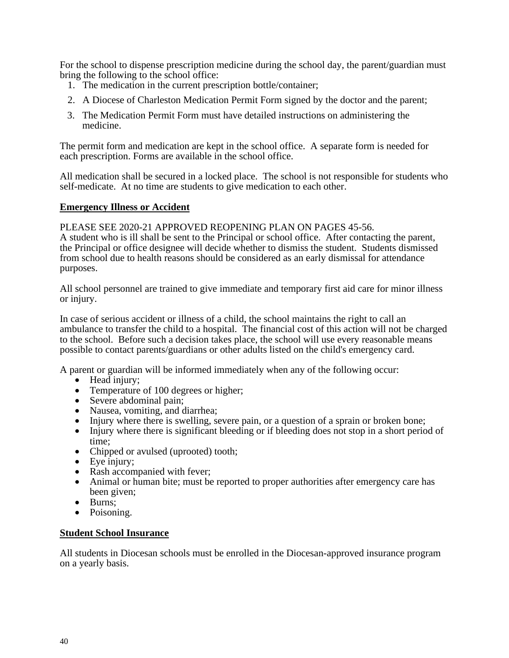For the school to dispense prescription medicine during the school day, the parent/guardian must bring the following to the school office:

- 1. The medication in the current prescription bottle/container;
- 2. A Diocese of Charleston Medication Permit Form signed by the doctor and the parent;
- 3. The Medication Permit Form must have detailed instructions on administering the medicine.

The permit form and medication are kept in the school office. A separate form is needed for each prescription. Forms are available in the school office.

All medication shall be secured in a locked place. The school is not responsible for students who self-medicate. At no time are students to give medication to each other.

#### **Emergency Illness or Accident**

PLEASE SEE 2020-21 APPROVED REOPENING PLAN ON PAGES 45-56.

A student who is ill shall be sent to the Principal or school office. After contacting the parent, the Principal or office designee will decide whether to dismiss the student. Students dismissed from school due to health reasons should be considered as an early dismissal for attendance purposes.

All school personnel are trained to give immediate and temporary first aid care for minor illness or injury.

In case of serious accident or illness of a child, the school maintains the right to call an ambulance to transfer the child to a hospital. The financial cost of this action will not be charged to the school. Before such a decision takes place, the school will use every reasonable means possible to contact parents/guardians or other adults listed on the child's emergency card.

A parent or guardian will be informed immediately when any of the following occur:

- Head injury;
- Temperature of 100 degrees or higher;
- Severe abdominal pain;
- Nausea, vomiting, and diarrhea;
- Injury where there is swelling, severe pain, or a question of a sprain or broken bone;
- Injury where there is significant bleeding or if bleeding does not stop in a short period of time;
- Chipped or avulsed (uprooted) tooth;
- Eye injury;
- Rash accompanied with fever:
- Animal or human bite; must be reported to proper authorities after emergency care has been given;
- Burns;
- Poisoning.

#### **Student School Insurance**

All students in Diocesan schools must be enrolled in the Diocesan-approved insurance program on a yearly basis.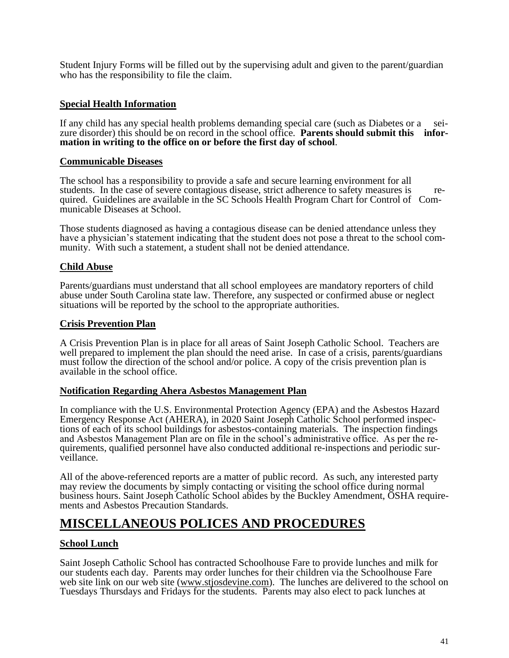Student Injury Forms will be filled out by the supervising adult and given to the parent/guardian who has the responsibility to file the claim.

#### **Special Health Information**

If any child has any special health problems demanding special care (such as Diabetes or a seizure disorder) this should be on record in the school office. **Parents should submit this information in writing to the office on or before the first day of school**.

#### **Communicable Diseases**

The school has a responsibility to provide a safe and secure learning environment for all students. In the case of severe contagious disease, strict adherence to safety measures is required. Guidelines are available in the SC Schools Health Program Chart for Control of Communicable Diseases at School.

Those students diagnosed as having a contagious disease can be denied attendance unless they have a physician's statement indicating that the student does not pose a threat to the school community. With such a statement, a student shall not be denied attendance.

#### **Child Abuse**

Parents/guardians must understand that all school employees are mandatory reporters of child abuse under South Carolina state law. Therefore, any suspected or confirmed abuse or neglect situations will be reported by the school to the appropriate authorities.

#### **Crisis Prevention Plan**

A Crisis Prevention Plan is in place for all areas of Saint Joseph Catholic School. Teachers are well prepared to implement the plan should the need arise. In case of a crisis, parents/guardians must follow the direction of the school and/or police. A copy of the crisis prevention plan is available in the school office.

#### **Notification Regarding Ahera Asbestos Management Plan**

In compliance with the U.S. Environmental Protection Agency (EPA) and the Asbestos Hazard Emergency Response Act (AHERA), in 2020 Saint Joseph Catholic School performed inspections of each of its school buildings for asbestos-containing materials. The inspection findings and Asbestos Management Plan are on file in the school's administrative office. As per the requirements, qualified personnel have also conducted additional re-inspections and periodic surveillance.

All of the above-referenced reports are a matter of public record. As such, any interested party may review the documents by simply contacting or visiting the school office during normal business hours. Saint Joseph Catholic School abides by the Buckley Amendment, OSHA requirements and Asbestos Precaution Standards.

## **MISCELLANEOUS POLICES AND PROCEDURES**

#### **School Lunch**

Saint Joseph Catholic School has contracted Schoolhouse Fare to provide lunches and milk for our students each day. Parents may order lunches for their children via the Schoolhouse Fare web site link on our web site [\(www.stjosdevine.com\)](http://www.stjosdevine.com/). The lunches are delivered to the school on Tuesdays Thursdays and Fridays for the students. Parents may also elect to pack lunches at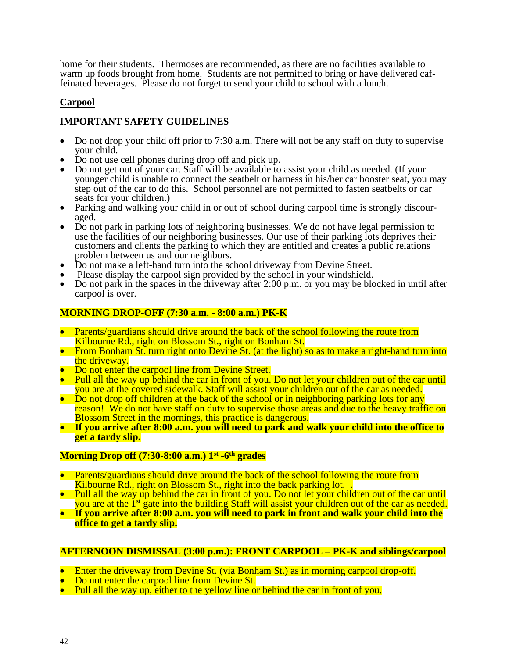home for their students. Thermoses are recommended, as there are no facilities available to warm up foods brought from home. Students are not permitted to bring or have delivered caffeinated beverages. Please do not forget to send your child to school with a lunch.

#### **Carpool**

#### **IMPORTANT SAFETY GUIDELINES**

- Do not drop your child off prior to 7:30 a.m. There will not be any staff on duty to supervise your child.
- Do not use cell phones during drop off and pick up.
- Do not get out of your car. Staff will be available to assist your child as needed. (If your younger child is unable to connect the seatbelt or harness in his/her car booster seat, you may step out of the car to do this. School personnel are not permitted to fasten seatbelts or car seats for your children.)
- Parking and walking your child in or out of school during carpool time is strongly discouraged.
- Do not park in parking lots of neighboring businesses. We do not have legal permission to use the facilities of our neighboring businesses. Our use of their parking lots deprives their customers and clients the parking to which they are entitled and creates a public relations problem between us and our neighbors.
- Do not make a left-hand turn into the school driveway from Devine Street.
- Please display the carpool sign provided by the school in your windshield.
- Do not park in the spaces in the driveway after 2:00 p.m. or you may be blocked in until after carpool is over.

#### **MORNING DROP-OFF (7:30 a.m. - 8:00 a.m.) PK-K**

- Parents/guardians should drive around the back of the school following the route from Kilbourne Rd., right on Blossom St., right on Bonham St.
- From Bonham St. turn right onto Devine St. (at the light) so as to make a right-hand turn into the driveway.
- Do not enter the carpool line from Devine Street.
- Pull all the way up behind the car in front of you. Do not let your children out of the car until you are at the covered sidewalk. Staff will assist your children out of the car as needed.
- Do not drop off children at the back of the school or in neighboring parking lots for any reason! We do not have staff on duty to supervise those areas and due to the heavy traffic on Blossom Street in the mornings, this practice is dangerous.
- **If you arrive after 8:00 a.m. you will need to park and walk your child into the office to get a tardy slip.**

#### **Morning Drop off (7:30-8:00 a.m.) 1st -6 th grades**

- Parents/guardians should drive around the back of the school following the route from Kilbourne Rd., right on Blossom St., right into the back parking lot...
- Pull all the way up behind the car in front of you. Do not let your children out of the car until you are at the 1<sup>st</sup> gate into the building Staff will assist your children out of the car as needed.
- **If you arrive after 8:00 a.m. you will need to park in front and walk your child into the office to get a tardy slip.**

#### **AFTERNOON DISMISSAL (3:00 p.m.): FRONT CARPOOL – PK-K and siblings/carpool**

- Enter the driveway from Devine St. (via Bonham St.) as in morning carpool drop-off.<br>• Do not enter the carpool line from Devine St.
- Do not enter the carpool line from Devine St.
- Pull all the way up, either to the yellow line or behind the car in front of you.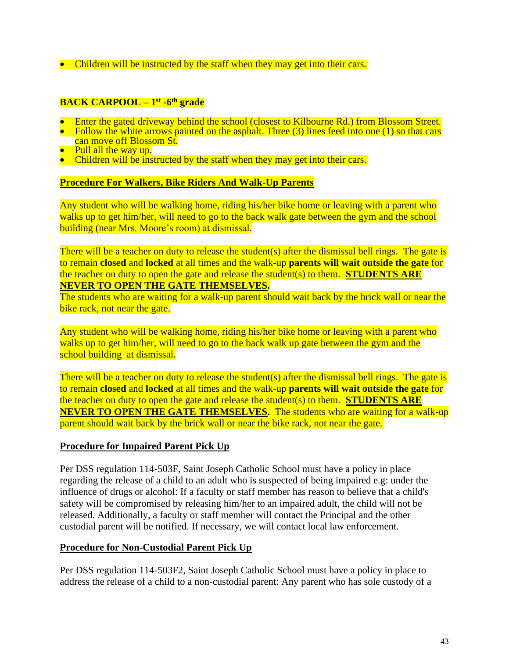• Children will be instructed by the staff when they may get into their cars.

#### **BACK CARPOOL – 1 st -6 th grade**

- Enter the gated driveway behind the school (closest to Kilbourne Rd.) from Blossom Street.
- Follow the white arrows painted on the asphalt. Three (3) lines feed into one (1) so that cars can move off Blossom St.
- **Pull all the way up.**
- Children will be instructed by the staff when they may get into their cars.

#### **Procedure For Walkers, Bike Riders And Walk-Up Parents**

Any student who will be walking home, riding his/her bike home or leaving with a parent who walks up to get him/her, will need to go to the back walk gate between the gym and the school building (near Mrs. Moore's room) at dismissal.

There will be a teacher on duty to release the student(s) after the dismissal bell rings. The gate is to remain **closed** and **locked** at all times and the walk-up **parents will wait outside the gate** for the teacher on duty to open the gate and release the student(s) to them. **STUDENTS ARE NEVER TO OPEN THE GATE THEMSELVES.**

The students who are waiting for a walk-up parent should wait back by the brick wall or near the bike rack, not near the gate.

Any student who will be walking home, riding his/her bike home or leaving with a parent who walks up to get him/her, will need to go to the back walk up gate between the gym and the school building at dismissal.

There will be a teacher on duty to release the student(s) after the dismissal bell rings. The gate is to remain **closed** and **locked** at all times and the walk-up **parents will wait outside the gate** for the teacher on duty to open the gate and release the student(s) to them. **STUDENTS ARE NEVER TO OPEN THE GATE THEMSELVES.** The students who are waiting for a walk-up parent should wait back by the brick wall or near the bike rack, not near the gate.

#### **Procedure for Impaired Parent Pick Up**

Per DSS regulation 114-503F, Saint Joseph Catholic School must have a policy in place regarding the release of a child to an adult who is suspected of being impaired e.g: under the influence of drugs or alcohol: If a faculty or staff member has reason to believe that a child's safety will be compromised by releasing him/her to an impaired adult, the child will not be released. Additionally, a faculty or staff member will contact the Principal and the other custodial parent will be notified. If necessary, we will contact local law enforcement.

#### **Procedure for Non-Custodial Parent Pick Up**

Per DSS regulation 114-503F2, Saint Joseph Catholic School must have a policy in place to address the release of a child to a non-custodial parent: Any parent who has sole custody of a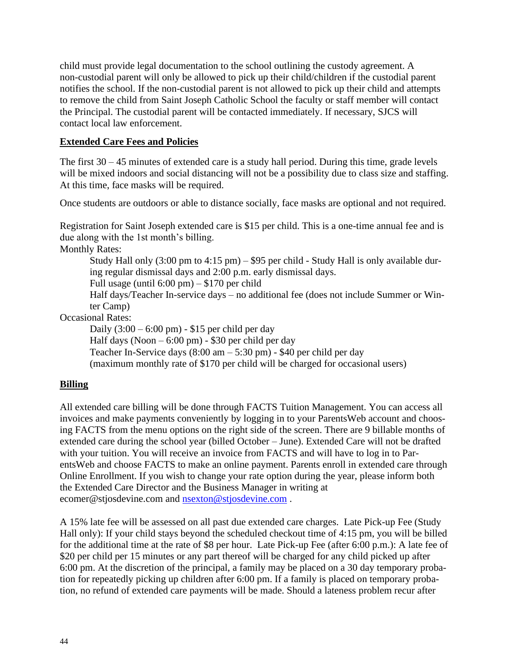child must provide legal documentation to the school outlining the custody agreement. A non-custodial parent will only be allowed to pick up their child/children if the custodial parent notifies the school. If the non-custodial parent is not allowed to pick up their child and attempts to remove the child from Saint Joseph Catholic School the faculty or staff member will contact the Principal. The custodial parent will be contacted immediately. If necessary, SJCS will contact local law enforcement.

#### **Extended Care Fees and Policies**

The first  $30 - 45$  minutes of extended care is a study hall period. During this time, grade levels will be mixed indoors and social distancing will not be a possibility due to class size and staffing. At this time, face masks will be required.

Once students are outdoors or able to distance socially, face masks are optional and not required.

Registration for Saint Joseph extended care is \$15 per child. This is a one-time annual fee and is due along with the 1st month's billing.

Monthly Rates:

Study Hall only (3:00 pm to 4:15 pm) – \$95 per child - Study Hall is only available during regular dismissal days and 2:00 p.m. early dismissal days. Full usage (until 6:00 pm) – \$170 per child

Half days/Teacher In-service days – no additional fee (does not include Summer or Winter Camp)

Occasional Rates:

Daily  $(3:00 - 6:00 \text{ pm}) - $15 \text{ per child per day}$ 

Half days (Noon  $-6:00 \text{ pm}$ ) - \$30 per child per day

Teacher In-Service days  $(8:00 \text{ am} - 5:30 \text{ pm})$  - \$40 per child per day

(maximum monthly rate of \$170 per child will be charged for occasional users)

#### **Billing**

All extended care billing will be done through FACTS Tuition Management. You can access all invoices and make payments conveniently by logging in to your ParentsWeb account and choosing FACTS from the menu options on the right side of the screen. There are 9 billable months of extended care during the school year (billed October – June). Extended Care will not be drafted with your tuition. You will receive an invoice from FACTS and will have to log in to ParentsWeb and choose FACTS to make an online payment. Parents enroll in extended care through Online Enrollment. If you wish to change your rate option during the year, please inform both the Extended Care Director and the Business Manager in writing at ecomer@stjosdevine.com and [nsexton@stjosdevine.com](mailto:nsexton@stjosdevine.com) .

A 15% late fee will be assessed on all past due extended care charges. Late Pick-up Fee (Study Hall only): If your child stays beyond the scheduled checkout time of 4:15 pm, you will be billed for the additional time at the rate of \$8 per hour. Late Pick-up Fee (after 6:00 p.m.): A late fee of \$20 per child per 15 minutes or any part thereof will be charged for any child picked up after 6:00 pm. At the discretion of the principal, a family may be placed on a 30 day temporary probation for repeatedly picking up children after 6:00 pm. If a family is placed on temporary probation, no refund of extended care payments will be made. Should a lateness problem recur after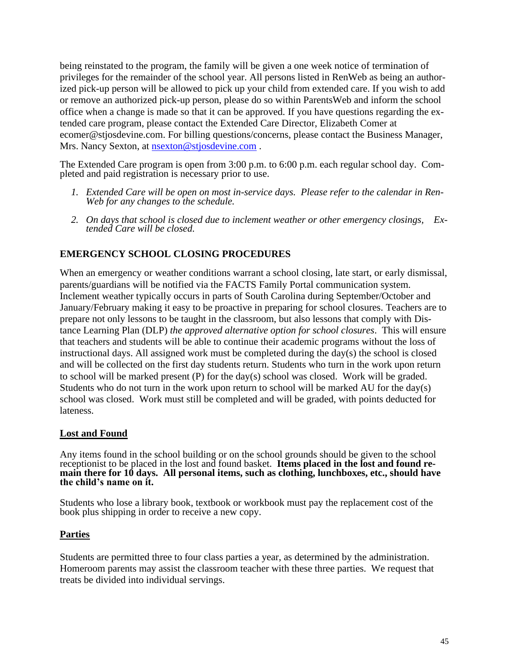being reinstated to the program, the family will be given a one week notice of termination of privileges for the remainder of the school year. All persons listed in RenWeb as being an authorized pick-up person will be allowed to pick up your child from extended care. If you wish to add or remove an authorized pick-up person, please do so within ParentsWeb and inform the school office when a change is made so that it can be approved. If you have questions regarding the extended care program, please contact the Extended Care Director, Elizabeth Comer at ecomer@stjosdevine.com. For billing questions/concerns, please contact the Business Manager, Mrs. Nancy Sexton, at [nsexton@stjosdevine.com](mailto:nsexton@stjosdevine.com).

The Extended Care program is open from 3:00 p.m. to 6:00 p.m. each regular school day. Completed and paid registration is necessary prior to use.

- *1. Extended Care will be open on most in-service days. Please refer to the calendar in Ren-Web for any changes to the schedule.*
- *2. On days that school is closed due to inclement weather or other emergency closings, Extended Care will be closed.*

#### **EMERGENCY SCHOOL CLOSING PROCEDURES**

When an emergency or weather conditions warrant a school closing, late start, or early dismissal, parents/guardians will be notified via the FACTS Family Portal communication system. Inclement weather typically occurs in parts of South Carolina during September/October and January/February making it easy to be proactive in preparing for school closures. Teachers are to prepare not only lessons to be taught in the classroom, but also lessons that comply with Distance Learning Plan (DLP) *the approved alternative option for school closures*. This will ensure that teachers and students will be able to continue their academic programs without the loss of instructional days. All assigned work must be completed during the day(s) the school is closed and will be collected on the first day students return. Students who turn in the work upon return to school will be marked present (P) for the day(s) school was closed. Work will be graded. Students who do not turn in the work upon return to school will be marked AU for the day(s) school was closed. Work must still be completed and will be graded, with points deducted for lateness.

#### **Lost and Found**

Any items found in the school building or on the school grounds should be given to the school receptionist to be placed in the lost and found basket. **Items placed in the lost and found remain there for 10 days. All personal items, such as clothing, lunchboxes, etc., should have the child's name on it.**

Students who lose a library book, textbook or workbook must pay the replacement cost of the book plus shipping in order to receive a new copy.

#### **Parties**

Students are permitted three to four class parties a year, as determined by the administration. Homeroom parents may assist the classroom teacher with these three parties. We request that treats be divided into individual servings.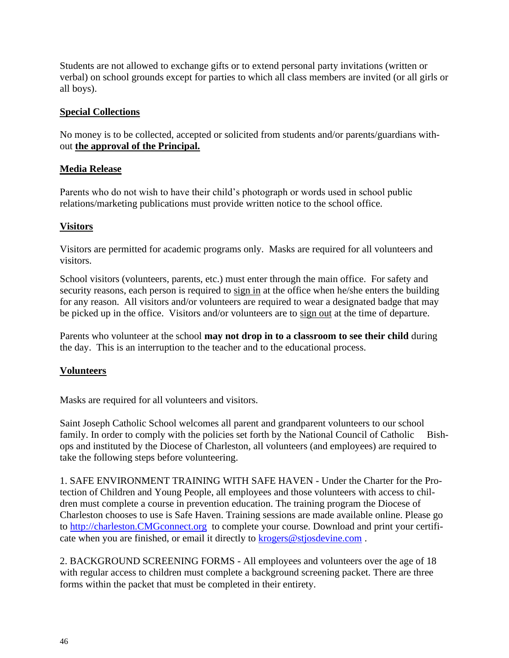Students are not allowed to exchange gifts or to extend personal party invitations (written or verbal) on school grounds except for parties to which all class members are invited (or all girls or all boys).

#### **Special Collections**

No money is to be collected, accepted or solicited from students and/or parents/guardians without **the approval of the Principal.**

#### **Media Release**

Parents who do not wish to have their child's photograph or words used in school public relations/marketing publications must provide written notice to the school office.

#### **Visitors**

Visitors are permitted for academic programs only. Masks are required for all volunteers and visitors.

School visitors (volunteers, parents, etc.) must enter through the main office. For safety and security reasons, each person is required to sign in at the office when he/she enters the building for any reason. All visitors and/or volunteers are required to wear a designated badge that may be picked up in the office. Visitors and/or volunteers are to sign out at the time of departure.

Parents who volunteer at the school **may not drop in to a classroom to see their child** during the day. This is an interruption to the teacher and to the educational process.

#### **Volunteers**

Masks are required for all volunteers and visitors.

Saint Joseph Catholic School welcomes all parent and grandparent volunteers to our school family. In order to comply with the policies set forth by the National Council of Catholic Bishops and instituted by the Diocese of Charleston, all volunteers (and employees) are required to take the following steps before volunteering.

1. SAFE ENVIRONMENT TRAINING WITH SAFE HAVEN - Under the Charter for the Protection of Children and Young People, all employees and those volunteers with access to children must complete a course in prevention education. The training program the Diocese of Charleston chooses to use is Safe Haven. Training sessions are made available online. Please go to [http://charleston.CMGconnect.org](http://charleston.cmgconnect.org/) to complete your course. Download and print your certificate when you are finished, or email it directly to **[krogers@stjosdevine.com](mailto:krogers@stjosdevine.com)**.

2. BACKGROUND SCREENING FORMS - All employees and volunteers over the age of 18 with regular access to children must complete a background screening packet. There are three forms within the packet that must be completed in their entirety.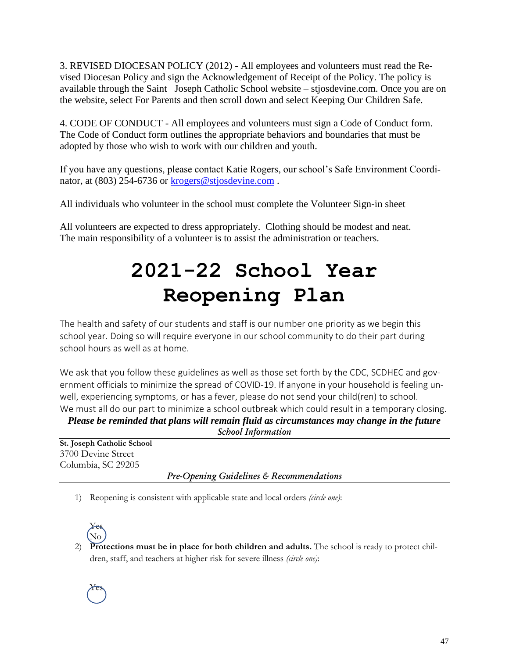3. REVISED DIOCESAN POLICY (2012) - All employees and volunteers must read the Revised Diocesan Policy and sign the Acknowledgement of Receipt of the Policy. The policy is available through the Saint Joseph Catholic School website – stjosdevine.com. Once you are on the website, select For Parents and then scroll down and select Keeping Our Children Safe.

4. CODE OF CONDUCT - All employees and volunteers must sign a Code of Conduct form. The Code of Conduct form outlines the appropriate behaviors and boundaries that must be adopted by those who wish to work with our children and youth.

If you have any questions, please contact Katie Rogers, our school's Safe Environment Coordinator, at (803) 254-6736 or [krogers@stjosdevine.com](mailto:krogers@stjosdevine.com).

All individuals who volunteer in the school must complete the Volunteer Sign-in sheet

All volunteers are expected to dress appropriately. Clothing should be modest and neat. The main responsibility of a volunteer is to assist the administration or teachers.

# **2021-22 School Year Reopening Plan**

The health and safety of our students and staff is our number one priority as we begin this school year. Doing so will require everyone in our school community to do their part during school hours as well as at home.

We ask that you follow these guidelines as well as those set forth by the CDC, SCDHEC and government officials to minimize the spread of COVID-19. If anyone in your household is feeling unwell, experiencing symptoms, or has a fever, please do not send your child(ren) to school. We must all do our part to minimize a school outbreak which could result in a temporary closing.

*Please be reminded that plans will remain fluid as circumstances may change in the future School Information*

**St. Joseph Catholic School** 3700 Devine Street Columbia, SC 29205

*Pre-Opening Guidelines & Recommendations*

1) Reopening is consistent with applicable state and local orders *(circle one)*:



2) **Protections must be in place for both children and adults.** The school is ready to protect children, staff, and teachers at higher risk for severe illness *(circle one)*: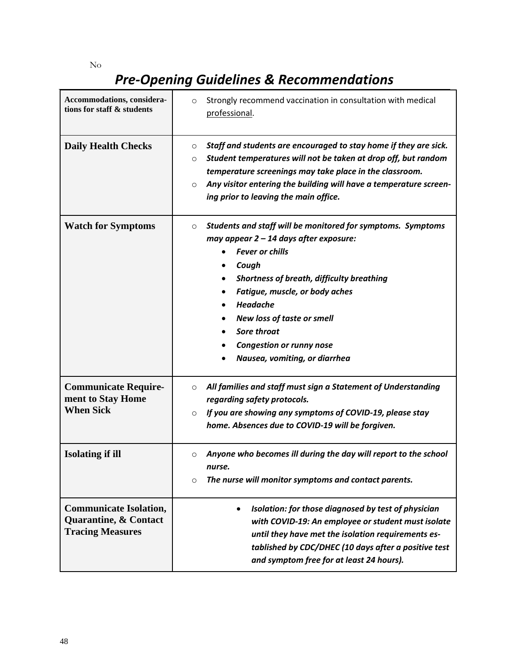No

# *Pre-Opening Guidelines & Recommendations*

| Accommodations, considera-<br>tions for staff & students                                     | Strongly recommend vaccination in consultation with medical<br>$\circ$<br>professional.                                                                                                                                                                                                                                                                                       |
|----------------------------------------------------------------------------------------------|-------------------------------------------------------------------------------------------------------------------------------------------------------------------------------------------------------------------------------------------------------------------------------------------------------------------------------------------------------------------------------|
| <b>Daily Health Checks</b>                                                                   | Staff and students are encouraged to stay home if they are sick.<br>O<br>Student temperatures will not be taken at drop off, but random<br>O<br>temperature screenings may take place in the classroom.<br>Any visitor entering the building will have a temperature screen-<br>$\circ$<br>ing prior to leaving the main office.                                              |
| <b>Watch for Symptoms</b>                                                                    | Students and staff will be monitored for symptoms. Symptoms<br>$\circ$<br>may appear 2 - 14 days after exposure:<br><b>Fever or chills</b><br>Cough<br><b>Shortness of breath, difficulty breathing</b><br>Fatigue, muscle, or body aches<br>Headache<br><b>New loss of taste or smell</b><br>Sore throat<br><b>Congestion or runny nose</b><br>Nausea, vomiting, or diarrhea |
| <b>Communicate Require-</b><br>ment to Stay Home<br><b>When Sick</b>                         | All families and staff must sign a Statement of Understanding<br>$\circ$<br>regarding safety protocols.<br>If you are showing any symptoms of COVID-19, please stay<br>$\circ$<br>home. Absences due to COVID-19 will be forgiven.                                                                                                                                            |
| <b>Isolating if ill</b>                                                                      | Anyone who becomes ill during the day will report to the school<br>$\circ$<br>nurse.<br>The nurse will monitor symptoms and contact parents.<br>O                                                                                                                                                                                                                             |
| <b>Communicate Isolation,</b><br><b>Quarantine, &amp; Contact</b><br><b>Tracing Measures</b> | Isolation: for those diagnosed by test of physician<br>with COVID-19: An employee or student must isolate<br>until they have met the isolation requirements es-<br>tablished by CDC/DHEC (10 days after a positive test<br>and symptom free for at least 24 hours).                                                                                                           |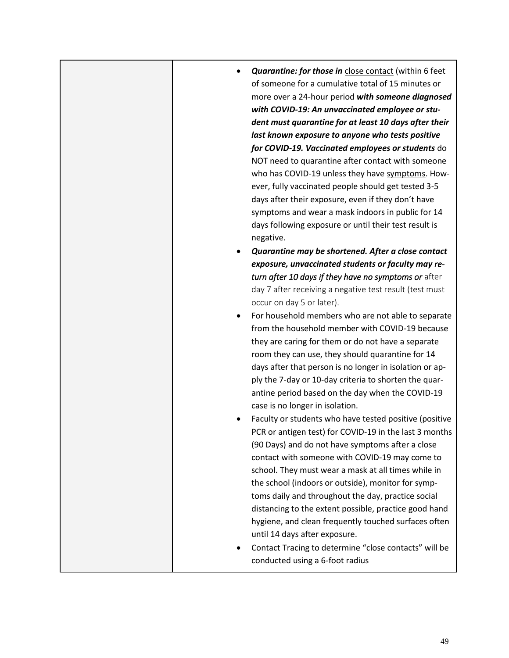|  | <b>Quarantine: for those in close contact (within 6 feet</b><br>of someone for a cumulative total of 15 minutes or<br>more over a 24-hour period with someone diagnosed<br>with COVID-19: An unvaccinated employee or stu-<br>dent must quarantine for at least 10 days after their<br>last known exposure to anyone who tests positive<br>for COVID-19. Vaccinated employees or students do<br>NOT need to quarantine after contact with someone<br>who has COVID-19 unless they have symptoms. How-<br>ever, fully vaccinated people should get tested 3-5<br>days after their exposure, even if they don't have<br>symptoms and wear a mask indoors in public for 14<br>days following exposure or until their test result is<br>negative.<br>Quarantine may be shortened. After a close contact<br>exposure, unvaccinated students or faculty may re-<br>turn after 10 days if they have no symptoms or after<br>day 7 after receiving a negative test result (test must<br>occur on day 5 or later).<br>For household members who are not able to separate<br>from the household member with COVID-19 because<br>they are caring for them or do not have a separate<br>room they can use, they should quarantine for 14<br>days after that person is no longer in isolation or ap-<br>ply the 7-day or 10-day criteria to shorten the quar-<br>antine period based on the day when the COVID-19<br>case is no longer in isolation.<br>Faculty or students who have tested positive (positive<br>PCR or antigen test) for COVID-19 in the last 3 months |
|--|-------------------------------------------------------------------------------------------------------------------------------------------------------------------------------------------------------------------------------------------------------------------------------------------------------------------------------------------------------------------------------------------------------------------------------------------------------------------------------------------------------------------------------------------------------------------------------------------------------------------------------------------------------------------------------------------------------------------------------------------------------------------------------------------------------------------------------------------------------------------------------------------------------------------------------------------------------------------------------------------------------------------------------------------------------------------------------------------------------------------------------------------------------------------------------------------------------------------------------------------------------------------------------------------------------------------------------------------------------------------------------------------------------------------------------------------------------------------------------------------------------------------------------------------------------------|
|  | (90 Days) and do not have symptoms after a close<br>contact with someone with COVID-19 may come to<br>school. They must wear a mask at all times while in<br>the school (indoors or outside), monitor for symp-<br>toms daily and throughout the day, practice social<br>distancing to the extent possible, practice good hand<br>hygiene, and clean frequently touched surfaces often<br>until 14 days after exposure.<br>Contact Tracing to determine "close contacts" will be<br>conducted using a 6-foot radius                                                                                                                                                                                                                                                                                                                                                                                                                                                                                                                                                                                                                                                                                                                                                                                                                                                                                                                                                                                                                                         |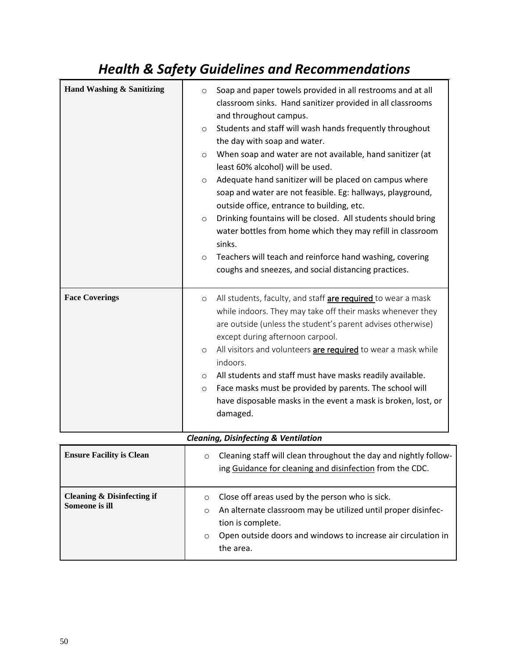## *Health & Safety Guidelines and Recommendations*

| Hand Washing & Sanitizing | Soap and paper towels provided in all restrooms and at all<br>$\circ$<br>classroom sinks. Hand sanitizer provided in all classrooms<br>and throughout campus.<br>Students and staff will wash hands frequently throughout<br>$\circ$<br>the day with soap and water.<br>When soap and water are not available, hand sanitizer (at<br>$\circ$<br>least 60% alcohol) will be used.<br>Adequate hand sanitizer will be placed on campus where<br>$\circ$<br>soap and water are not feasible. Eg: hallways, playground,<br>outside office, entrance to building, etc.<br>Drinking fountains will be closed. All students should bring<br>$\circ$<br>water bottles from home which they may refill in classroom<br>sinks.<br>Teachers will teach and reinforce hand washing, covering<br>$\circ$<br>coughs and sneezes, and social distancing practices. |
|---------------------------|-----------------------------------------------------------------------------------------------------------------------------------------------------------------------------------------------------------------------------------------------------------------------------------------------------------------------------------------------------------------------------------------------------------------------------------------------------------------------------------------------------------------------------------------------------------------------------------------------------------------------------------------------------------------------------------------------------------------------------------------------------------------------------------------------------------------------------------------------------|
| <b>Face Coverings</b>     | All students, faculty, and staff are required to wear a mask<br>$\circ$<br>while indoors. They may take off their masks whenever they<br>are outside (unless the student's parent advises otherwise)<br>except during afternoon carpool.<br>All visitors and volunteers are required to wear a mask while<br>$\circ$<br>indoors.<br>All students and staff must have masks readily available.<br>$\circ$<br>Face masks must be provided by parents. The school will<br>$\circ$<br>have disposable masks in the event a mask is broken, lost, or<br>damaged.                                                                                                                                                                                                                                                                                         |

#### *Cleaning, Disinfecting & Ventilation*

| <b>Ensure Facility is Clean</b>                 | Cleaning staff will clean throughout the day and nightly follow-<br>$\circ$<br>ing Guidance for cleaning and disinfection from the CDC.                                                                                                              |
|-------------------------------------------------|------------------------------------------------------------------------------------------------------------------------------------------------------------------------------------------------------------------------------------------------------|
| Cleaning $\&$ Disinfecting if<br>Someone is ill | Close off areas used by the person who is sick.<br>$\circ$<br>An alternate classroom may be utilized until proper disinfec-<br>$\circ$<br>tion is complete.<br>Open outside doors and windows to increase air circulation in<br>$\circ$<br>the area. |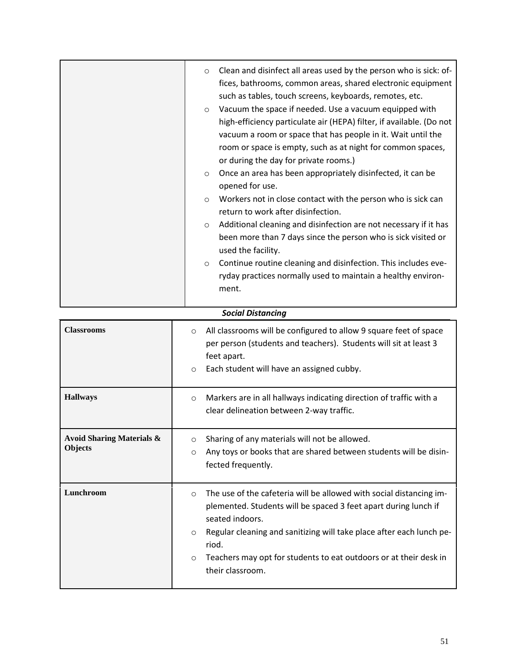| Clean and disinfect all areas used by the person who is sick: of-<br>$\circ$<br>fices, bathrooms, common areas, shared electronic equipment<br>such as tables, touch screens, keyboards, remotes, etc.<br>Vacuum the space if needed. Use a vacuum equipped with<br>$\circ$<br>high-efficiency particulate air (HEPA) filter, if available. (Do not<br>vacuum a room or space that has people in it. Wait until the<br>room or space is empty, such as at night for common spaces,<br>or during the day for private rooms.)<br>Once an area has been appropriately disinfected, it can be<br>$\circ$<br>opened for use.<br>Workers not in close contact with the person who is sick can<br>$\circ$<br>return to work after disinfection.<br>Additional cleaning and disinfection are not necessary if it has<br>$\circ$<br>been more than 7 days since the person who is sick visited or<br>used the facility.<br>Continue routine cleaning and disinfection. This includes eve-<br>$\circ$<br>ryday practices normally used to maintain a healthy environ-<br>ment. |
|----------------------------------------------------------------------------------------------------------------------------------------------------------------------------------------------------------------------------------------------------------------------------------------------------------------------------------------------------------------------------------------------------------------------------------------------------------------------------------------------------------------------------------------------------------------------------------------------------------------------------------------------------------------------------------------------------------------------------------------------------------------------------------------------------------------------------------------------------------------------------------------------------------------------------------------------------------------------------------------------------------------------------------------------------------------------|
|                                                                                                                                                                                                                                                                                                                                                                                                                                                                                                                                                                                                                                                                                                                                                                                                                                                                                                                                                                                                                                                                      |

| <b>Social Distancing</b>                        |                                                                                                                                                                                                                                                                                                                                                                      |  |
|-------------------------------------------------|----------------------------------------------------------------------------------------------------------------------------------------------------------------------------------------------------------------------------------------------------------------------------------------------------------------------------------------------------------------------|--|
| <b>Classrooms</b>                               | All classrooms will be configured to allow 9 square feet of space<br>$\circ$<br>per person (students and teachers). Students will sit at least 3<br>feet apart.<br>Each student will have an assigned cubby.<br>$\circ$                                                                                                                                              |  |
| <b>Hallways</b>                                 | Markers are in all hallways indicating direction of traffic with a<br>$\circ$<br>clear delineation between 2-way traffic.                                                                                                                                                                                                                                            |  |
| <b>Avoid Sharing Materials &amp;</b><br>Objects | Sharing of any materials will not be allowed.<br>$\circ$<br>Any toys or books that are shared between students will be disin-<br>$\Omega$<br>fected frequently.                                                                                                                                                                                                      |  |
| Lunchroom                                       | The use of the cafeteria will be allowed with social distancing im-<br>$\circ$<br>plemented. Students will be spaced 3 feet apart during lunch if<br>seated indoors.<br>Regular cleaning and sanitizing will take place after each lunch pe-<br>$\circ$<br>riod.<br>Teachers may opt for students to eat outdoors or at their desk in<br>$\circ$<br>their classroom. |  |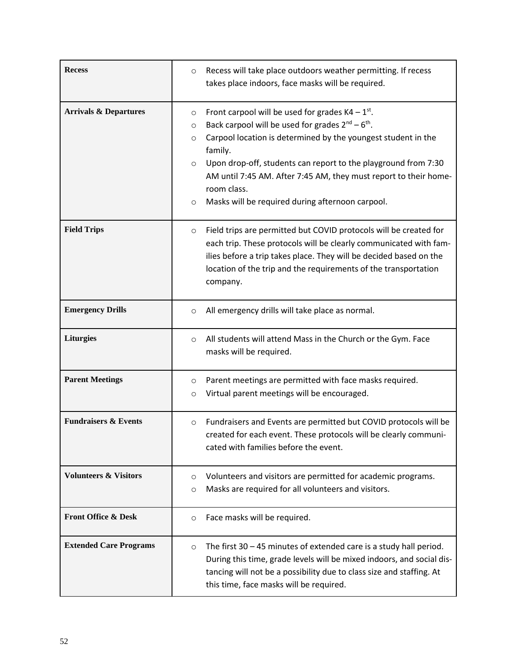| <b>Recess</b>                    | Recess will take place outdoors weather permitting. If recess<br>$\circ$<br>takes place indoors, face masks will be required.                                                                                                                                                                                                                                                                                                                           |
|----------------------------------|---------------------------------------------------------------------------------------------------------------------------------------------------------------------------------------------------------------------------------------------------------------------------------------------------------------------------------------------------------------------------------------------------------------------------------------------------------|
| <b>Arrivals &amp; Departures</b> | Front carpool will be used for grades $K4 - 1^{st}$ .<br>$\circ$<br>Back carpool will be used for grades $2^{nd} - 6^{th}$ .<br>$\circ$<br>Carpool location is determined by the youngest student in the<br>O<br>family.<br>Upon drop-off, students can report to the playground from 7:30<br>$\circ$<br>AM until 7:45 AM. After 7:45 AM, they must report to their home-<br>room class.<br>Masks will be required during afternoon carpool.<br>$\circ$ |
| <b>Field Trips</b>               | Field trips are permitted but COVID protocols will be created for<br>$\circ$<br>each trip. These protocols will be clearly communicated with fam-<br>ilies before a trip takes place. They will be decided based on the<br>location of the trip and the requirements of the transportation<br>company.                                                                                                                                                  |
| <b>Emergency Drills</b>          | All emergency drills will take place as normal.<br>$\circ$                                                                                                                                                                                                                                                                                                                                                                                              |
| <b>Liturgies</b>                 | All students will attend Mass in the Church or the Gym. Face<br>$\circ$<br>masks will be required.                                                                                                                                                                                                                                                                                                                                                      |
| <b>Parent Meetings</b>           | Parent meetings are permitted with face masks required.<br>O<br>Virtual parent meetings will be encouraged.<br>O                                                                                                                                                                                                                                                                                                                                        |
| <b>Fundraisers &amp; Events</b>  | Fundraisers and Events are permitted but COVID protocols will be<br>$\circ$<br>created for each event. These protocols will be clearly communi-<br>cated with families before the event.                                                                                                                                                                                                                                                                |
| <b>Volunteers &amp; Visitors</b> | Volunteers and visitors are permitted for academic programs.<br>O<br>Masks are required for all volunteers and visitors.<br>$\circ$                                                                                                                                                                                                                                                                                                                     |
| <b>Front Office &amp; Desk</b>   | Face masks will be required.<br>$\circ$                                                                                                                                                                                                                                                                                                                                                                                                                 |
| <b>Extended Care Programs</b>    | The first $30 - 45$ minutes of extended care is a study hall period.<br>$\circ$<br>During this time, grade levels will be mixed indoors, and social dis-<br>tancing will not be a possibility due to class size and staffing. At<br>this time, face masks will be required.                                                                                                                                                                             |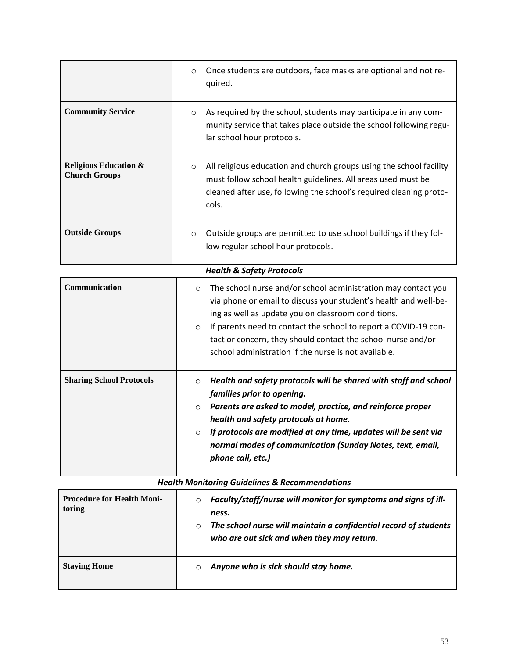|                                                          | Once students are outdoors, face masks are optional and not re-<br>$\circ$<br>quired.                                                                                                                                         |
|----------------------------------------------------------|-------------------------------------------------------------------------------------------------------------------------------------------------------------------------------------------------------------------------------|
| <b>Community Service</b>                                 | As required by the school, students may participate in any com-<br>$\circ$<br>munity service that takes place outside the school following regu-<br>lar school hour protocols.                                                |
| <b>Religious Education &amp;</b><br><b>Church Groups</b> | All religious education and church groups using the school facility<br>$\circ$<br>must follow school health guidelines. All areas used must be<br>cleaned after use, following the school's required cleaning proto-<br>cols. |
| <b>Outside Groups</b>                                    | Outside groups are permitted to use school buildings if they fol-<br>$\circ$<br>low regular school hour protocols.                                                                                                            |

| <b>Health &amp; Safety Protocols</b> |                                                                                                                                                                                                                                                                                                                                                                                                          |
|--------------------------------------|----------------------------------------------------------------------------------------------------------------------------------------------------------------------------------------------------------------------------------------------------------------------------------------------------------------------------------------------------------------------------------------------------------|
| Communication                        | The school nurse and/or school administration may contact you<br>$\circ$<br>via phone or email to discuss your student's health and well-be-<br>ing as well as update you on classroom conditions.<br>If parents need to contact the school to report a COVID-19 con-<br>$\circ$<br>tact or concern, they should contact the school nurse and/or<br>school administration if the nurse is not available. |
| <b>Sharing School Protocols</b>      | Health and safety protocols will be shared with staff and school<br>$\circ$<br>families prior to opening.<br>Parents are asked to model, practice, and reinforce proper<br>$\circ$<br>health and safety protocols at home.<br>If protocols are modified at any time, updates will be sent via<br>$\circ$<br>normal modes of communication (Sunday Notes, text, email,<br>phone call, etc.)               |

| <b>Health Monitoring Guidelines &amp; Recommendations</b> |                                                                                                                                                                                                                  |
|-----------------------------------------------------------|------------------------------------------------------------------------------------------------------------------------------------------------------------------------------------------------------------------|
| <b>Procedure for Health Moni-</b><br>toring               | Faculty/staff/nurse will monitor for symptoms and signs of ill-<br>$\circ$<br>ness.<br>The school nurse will maintain a confidential record of students<br>$\circ$<br>who are out sick and when they may return. |
| <b>Staving Home</b>                                       | Anyone who is sick should stay home.<br>$\circ$                                                                                                                                                                  |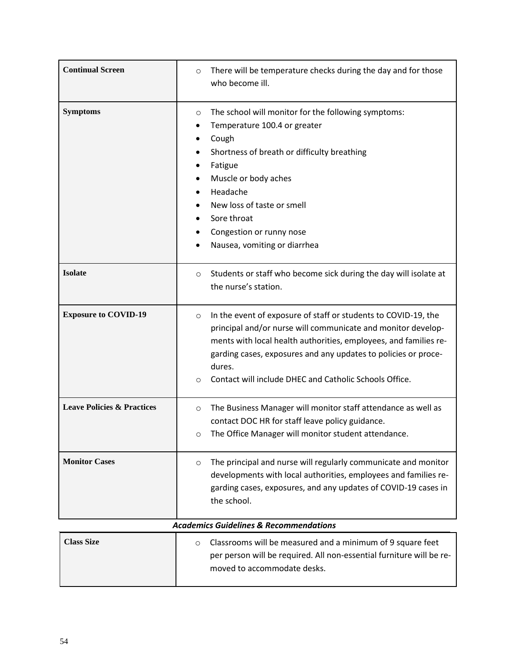| <b>Continual Screen</b>               | There will be temperature checks during the day and for those<br>$\circ$<br>who become ill.                                                                                                                                                                                                                                                              |
|---------------------------------------|----------------------------------------------------------------------------------------------------------------------------------------------------------------------------------------------------------------------------------------------------------------------------------------------------------------------------------------------------------|
| <b>Symptoms</b>                       | The school will monitor for the following symptoms:<br>O<br>Temperature 100.4 or greater<br>٠<br>Cough<br>Shortness of breath or difficulty breathing<br>Fatigue<br>Muscle or body aches<br>Headache<br>New loss of taste or smell<br>Sore throat<br>Congestion or runny nose<br>٠<br>Nausea, vomiting or diarrhea                                       |
| <b>Isolate</b>                        | Students or staff who become sick during the day will isolate at<br>$\circ$<br>the nurse's station.                                                                                                                                                                                                                                                      |
| <b>Exposure to COVID-19</b>           | In the event of exposure of staff or students to COVID-19, the<br>$\circ$<br>principal and/or nurse will communicate and monitor develop-<br>ments with local health authorities, employees, and families re-<br>garding cases, exposures and any updates to policies or proce-<br>dures.<br>Contact will include DHEC and Catholic Schools Office.<br>O |
| <b>Leave Policies &amp; Practices</b> | The Business Manager will monitor staff attendance as well as<br>$\circ$<br>contact DOC HR for staff leave policy guidance.<br>The Office Manager will monitor student attendance.<br>O                                                                                                                                                                  |
| <b>Monitor Cases</b>                  | The principal and nurse will regularly communicate and monitor<br>$\circ$<br>developments with local authorities, employees and families re-<br>garding cases, exposures, and any updates of COVID-19 cases in<br>the school.                                                                                                                            |
|                                       | <b>Academics Guidelines &amp; Recommendations</b>                                                                                                                                                                                                                                                                                                        |
| <b>Class Size</b>                     | Classrooms will be measured and a minimum of 9 square feet<br>$\circ$<br>per person will be required. All non-essential furniture will be re-                                                                                                                                                                                                            |

moved to accommodate desks.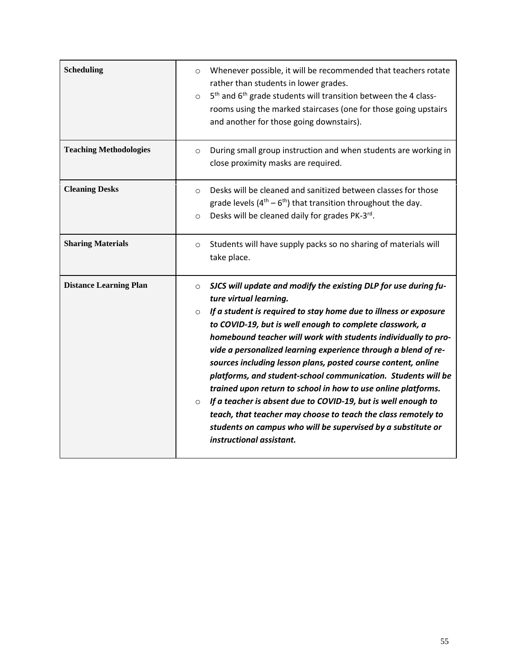| <b>Scheduling</b>             | Whenever possible, it will be recommended that teachers rotate<br>$\circ$<br>rather than students in lower grades.<br>5 <sup>th</sup> and 6 <sup>th</sup> grade students will transition between the 4 class-<br>$\circ$<br>rooms using the marked staircases (one for those going upstairs<br>and another for those going downstairs).                                                                                                                                                                                                                                                                                                                                                                                                                                                                                         |
|-------------------------------|---------------------------------------------------------------------------------------------------------------------------------------------------------------------------------------------------------------------------------------------------------------------------------------------------------------------------------------------------------------------------------------------------------------------------------------------------------------------------------------------------------------------------------------------------------------------------------------------------------------------------------------------------------------------------------------------------------------------------------------------------------------------------------------------------------------------------------|
| <b>Teaching Methodologies</b> | During small group instruction and when students are working in<br>$\circ$<br>close proximity masks are required.                                                                                                                                                                                                                                                                                                                                                                                                                                                                                                                                                                                                                                                                                                               |
| <b>Cleaning Desks</b>         | Desks will be cleaned and sanitized between classes for those<br>$\circ$<br>grade levels $(4^{th} - 6^{th})$ that transition throughout the day.<br>Desks will be cleaned daily for grades PK-3rd.<br>$\circ$                                                                                                                                                                                                                                                                                                                                                                                                                                                                                                                                                                                                                   |
| <b>Sharing Materials</b>      | Students will have supply packs so no sharing of materials will<br>$\circ$<br>take place.                                                                                                                                                                                                                                                                                                                                                                                                                                                                                                                                                                                                                                                                                                                                       |
| <b>Distance Learning Plan</b> | SJCS will update and modify the existing DLP for use during fu-<br>$\circ$<br>ture virtual learning.<br>If a student is required to stay home due to illness or exposure<br>$\circ$<br>to COVID-19, but is well enough to complete classwork, a<br>homebound teacher will work with students individually to pro-<br>vide a personalized learning experience through a blend of re-<br>sources including lesson plans, posted course content, online<br>platforms, and student-school communication. Students will be<br>trained upon return to school in how to use online platforms.<br>If a teacher is absent due to COVID-19, but is well enough to<br>$\circ$<br>teach, that teacher may choose to teach the class remotely to<br>students on campus who will be supervised by a substitute or<br>instructional assistant. |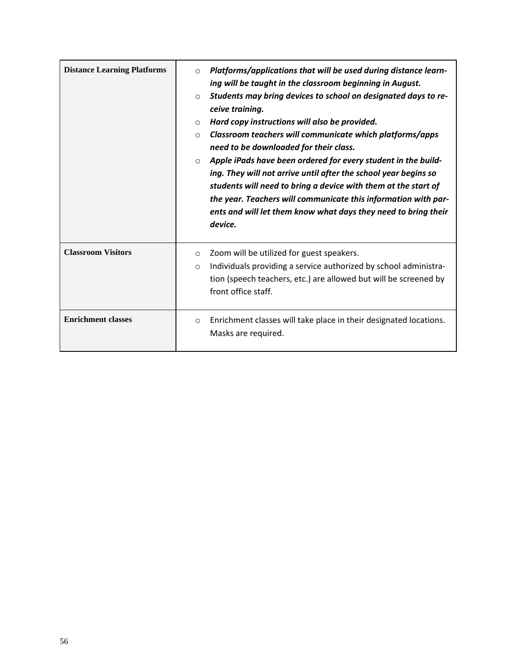| <b>Distance Learning Platforms</b> | Platforms/applications that will be used during distance learn-<br>$\circ$<br>ing will be taught in the classroom beginning in August.<br>Students may bring devices to school on designated days to re-<br>$\circ$<br>ceive training.<br>Hard copy instructions will also be provided.<br>$\circ$<br>Classroom teachers will communicate which platforms/apps<br>$\circ$<br>need to be downloaded for their class.<br>Apple iPads have been ordered for every student in the build-<br>$\circ$<br>ing. They will not arrive until after the school year begins so<br>students will need to bring a device with them at the start of<br>the year. Teachers will communicate this information with par-<br>ents and will let them know what days they need to bring their<br>device. |
|------------------------------------|-------------------------------------------------------------------------------------------------------------------------------------------------------------------------------------------------------------------------------------------------------------------------------------------------------------------------------------------------------------------------------------------------------------------------------------------------------------------------------------------------------------------------------------------------------------------------------------------------------------------------------------------------------------------------------------------------------------------------------------------------------------------------------------|
| <b>Classroom Visitors</b>          | Zoom will be utilized for guest speakers.<br>$\circ$<br>Individuals providing a service authorized by school administra-<br>$\circ$<br>tion (speech teachers, etc.) are allowed but will be screened by<br>front office staff.                                                                                                                                                                                                                                                                                                                                                                                                                                                                                                                                                      |
| <b>Enrichment classes</b>          | Enrichment classes will take place in their designated locations.<br>$\circ$<br>Masks are required.                                                                                                                                                                                                                                                                                                                                                                                                                                                                                                                                                                                                                                                                                 |